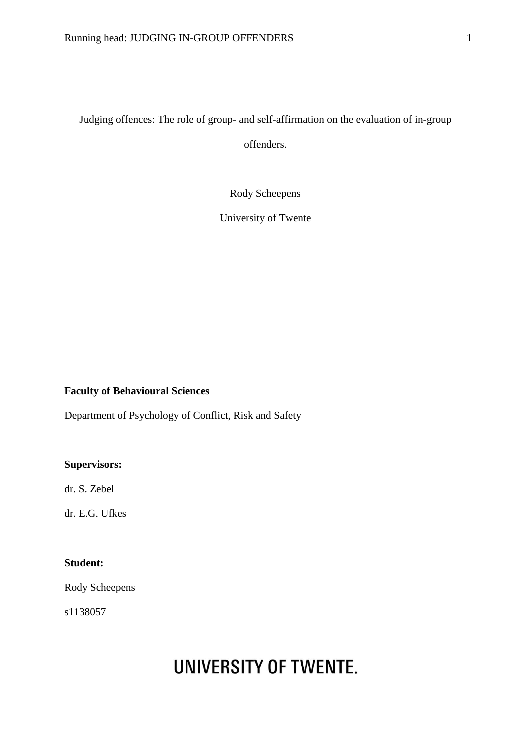## Judging offences: The role of group- and self-affirmation on the evaluation of in-group offenders.

Rody Scheepens

University of Twente

## **Faculty of Behavioural Sciences**

Department of Psychology of Conflict, Risk and Safety

## **Supervisors:**

dr. S. Zebel

dr. E.G. Ufkes

## **Student:**

Rody Scheepens

s1138057

# **UNIVERSITY OF TWENTE.**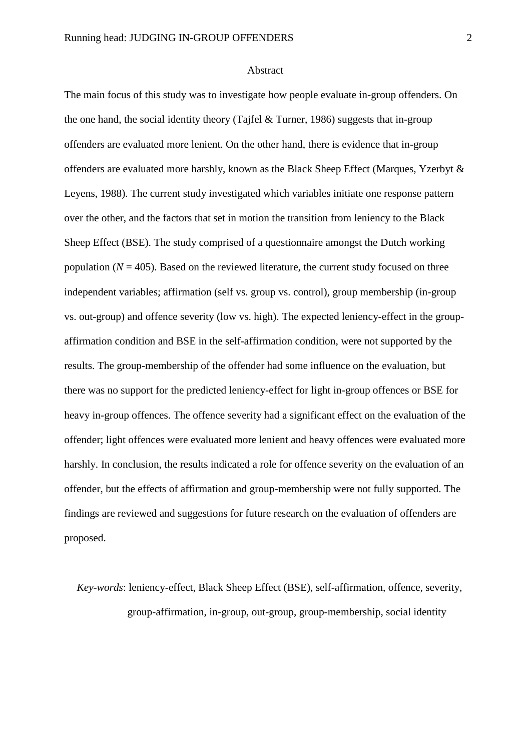#### Abstract

The main focus of this study was to investigate how people evaluate in-group offenders. On the one hand, the social identity theory (Tajfel & Turner, 1986) suggests that in-group offenders are evaluated more lenient. On the other hand, there is evidence that in-group offenders are evaluated more harshly, known as the Black Sheep Effect (Marques, Yzerbyt & Leyens, 1988). The current study investigated which variables initiate one response pattern over the other, and the factors that set in motion the transition from leniency to the Black Sheep Effect (BSE). The study comprised of a questionnaire amongst the Dutch working population  $(N = 405)$ . Based on the reviewed literature, the current study focused on three independent variables; affirmation (self vs. group vs. control), group membership (in-group vs. out-group) and offence severity (low vs. high). The expected leniency-effect in the groupaffirmation condition and BSE in the self-affirmation condition, were not supported by the results. The group-membership of the offender had some influence on the evaluation, but there was no support for the predicted leniency-effect for light in-group offences or BSE for heavy in-group offences. The offence severity had a significant effect on the evaluation of the offender; light offences were evaluated more lenient and heavy offences were evaluated more harshly. In conclusion, the results indicated a role for offence severity on the evaluation of an offender, but the effects of affirmation and group-membership were not fully supported. The findings are reviewed and suggestions for future research on the evaluation of offenders are proposed.

*Key-words*: leniency-effect, Black Sheep Effect (BSE), self-affirmation, offence, severity, group-affirmation, in-group, out-group, group-membership, social identity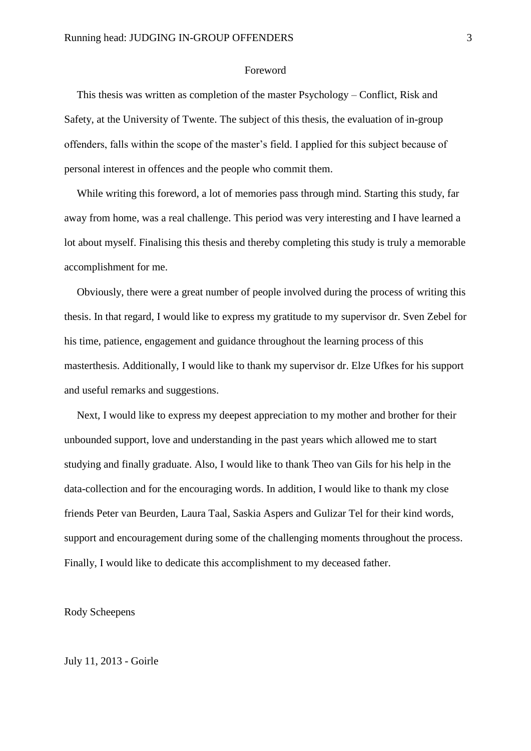#### Foreword

This thesis was written as completion of the master Psychology – Conflict, Risk and Safety, at the University of Twente. The subject of this thesis, the evaluation of in-group offenders, falls within the scope of the master's field. I applied for this subject because of personal interest in offences and the people who commit them.

While writing this foreword, a lot of memories pass through mind. Starting this study, far away from home, was a real challenge. This period was very interesting and I have learned a lot about myself. Finalising this thesis and thereby completing this study is truly a memorable accomplishment for me.

Obviously, there were a great number of people involved during the process of writing this thesis. In that regard, I would like to express my gratitude to my supervisor dr. Sven Zebel for his time, patience, engagement and guidance throughout the learning process of this masterthesis. Additionally, I would like to thank my supervisor dr. Elze Ufkes for his support and useful remarks and suggestions.

Next, I would like to express my deepest appreciation to my mother and brother for their unbounded support, love and understanding in the past years which allowed me to start studying and finally graduate. Also, I would like to thank Theo van Gils for his help in the data-collection and for the encouraging words. In addition, I would like to thank my close friends Peter van Beurden, Laura Taal, Saskia Aspers and Gulizar Tel for their kind words, support and encouragement during some of the challenging moments throughout the process. Finally, I would like to dedicate this accomplishment to my deceased father.

Rody Scheepens

July 11, 2013 - Goirle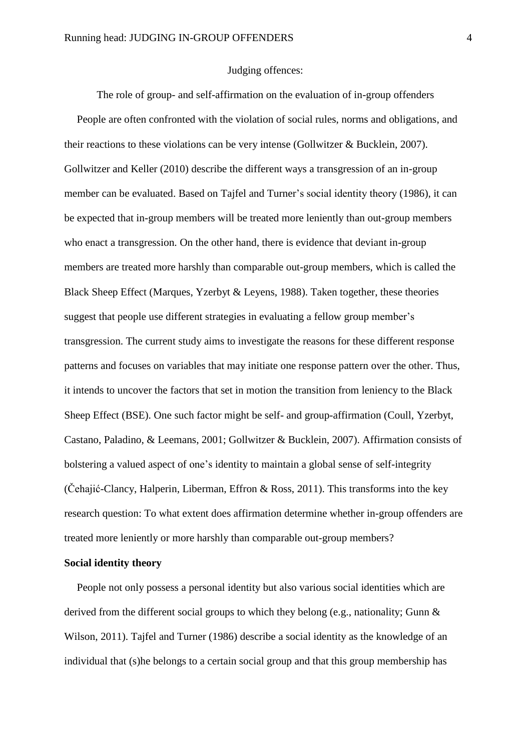#### Judging offences:

The role of group- and self-affirmation on the evaluation of in-group offenders People are often confronted with the violation of social rules, norms and obligations, and their reactions to these violations can be very intense (Gollwitzer & Bucklein, 2007). Gollwitzer and Keller (2010) describe the different ways a transgression of an in-group member can be evaluated. Based on Tajfel and Turner's social identity theory (1986), it can be expected that in-group members will be treated more leniently than out-group members who enact a transgression. On the other hand, there is evidence that deviant in-group members are treated more harshly than comparable out-group members, which is called the Black Sheep Effect (Marques, Yzerbyt & Leyens, 1988). Taken together, these theories suggest that people use different strategies in evaluating a fellow group member's transgression. The current study aims to investigate the reasons for these different response patterns and focuses on variables that may initiate one response pattern over the other. Thus, it intends to uncover the factors that set in motion the transition from leniency to the Black Sheep Effect (BSE). One such factor might be self- and group-affirmation (Coull, Yzerbyt, Castano, Paladino, & Leemans, 2001; Gollwitzer & Bucklein, 2007). Affirmation consists of bolstering a valued aspect of one's identity to maintain a global sense of self-integrity (Čehajić-Clancy, Halperin, Liberman, Effron & Ross, 2011). This transforms into the key research question: To what extent does affirmation determine whether in-group offenders are treated more leniently or more harshly than comparable out-group members?

## **Social identity theory**

People not only possess a personal identity but also various social identities which are derived from the different social groups to which they belong (e.g., nationality; Gunn & Wilson, 2011). Tajfel and Turner (1986) describe a social identity as the knowledge of an individual that (s)he belongs to a certain social group and that this group membership has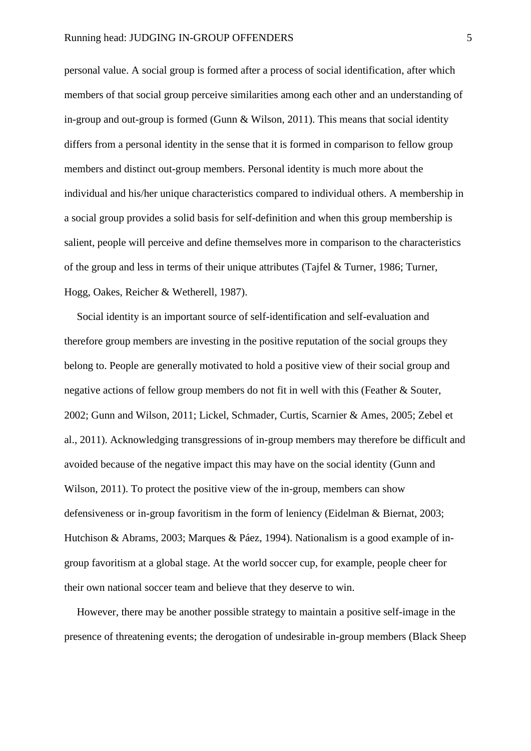personal value. A social group is formed after a process of social identification, after which members of that social group perceive similarities among each other and an understanding of in-group and out-group is formed (Gunn & Wilson, 2011). This means that social identity differs from a personal identity in the sense that it is formed in comparison to fellow group members and distinct out-group members. Personal identity is much more about the individual and his/her unique characteristics compared to individual others. A membership in a social group provides a solid basis for self-definition and when this group membership is salient, people will perceive and define themselves more in comparison to the characteristics of the group and less in terms of their unique attributes (Tajfel & Turner, 1986; Turner, Hogg, Oakes, Reicher & Wetherell, 1987).

Social identity is an important source of self-identification and self-evaluation and therefore group members are investing in the positive reputation of the social groups they belong to. People are generally motivated to hold a positive view of their social group and negative actions of fellow group members do not fit in well with this (Feather & Souter, 2002; Gunn and Wilson, 2011; Lickel, Schmader, Curtis, Scarnier & Ames, 2005; Zebel et al., 2011). Acknowledging transgressions of in-group members may therefore be difficult and avoided because of the negative impact this may have on the social identity (Gunn and Wilson, 2011). To protect the positive view of the in-group, members can show defensiveness or in-group favoritism in the form of leniency (Eidelman & Biernat, 2003; Hutchison & Abrams, 2003; Marques & Páez, 1994). Nationalism is a good example of ingroup favoritism at a global stage. At the world soccer cup, for example, people cheer for their own national soccer team and believe that they deserve to win.

However, there may be another possible strategy to maintain a positive self-image in the presence of threatening events; the derogation of undesirable in-group members (Black Sheep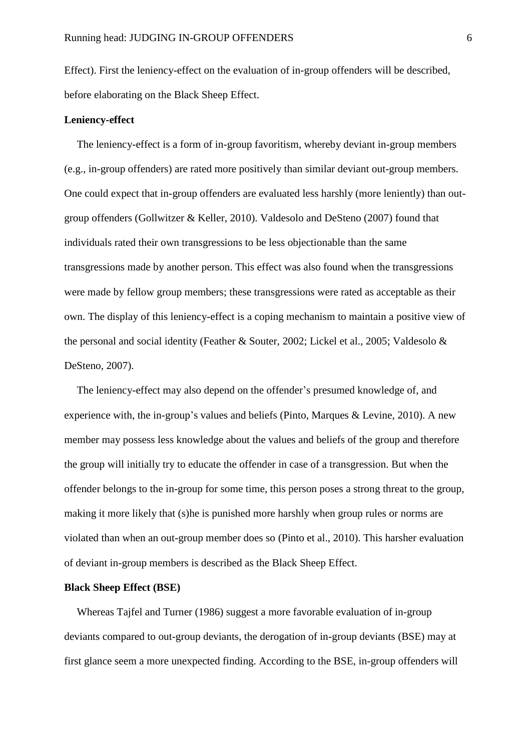Effect). First the leniency-effect on the evaluation of in-group offenders will be described, before elaborating on the Black Sheep Effect.

#### **Leniency-effect**

The leniency-effect is a form of in-group favoritism, whereby deviant in-group members (e.g., in-group offenders) are rated more positively than similar deviant out-group members. One could expect that in-group offenders are evaluated less harshly (more leniently) than outgroup offenders (Gollwitzer & Keller, 2010). Valdesolo and DeSteno (2007) found that individuals rated their own transgressions to be less objectionable than the same transgressions made by another person. This effect was also found when the transgressions were made by fellow group members; these transgressions were rated as acceptable as their own. The display of this leniency-effect is a coping mechanism to maintain a positive view of the personal and social identity (Feather & Souter, 2002; Lickel et al., 2005; Valdesolo & DeSteno, 2007).

The leniency-effect may also depend on the offender's presumed knowledge of, and experience with, the in-group's values and beliefs (Pinto, Marques & Levine, 2010). A new member may possess less knowledge about the values and beliefs of the group and therefore the group will initially try to educate the offender in case of a transgression. But when the offender belongs to the in-group for some time, this person poses a strong threat to the group, making it more likely that (s)he is punished more harshly when group rules or norms are violated than when an out-group member does so (Pinto et al., 2010). This harsher evaluation of deviant in-group members is described as the Black Sheep Effect.

## **Black Sheep Effect (BSE)**

Whereas Tajfel and Turner (1986) suggest a more favorable evaluation of in-group deviants compared to out-group deviants, the derogation of in-group deviants (BSE) may at first glance seem a more unexpected finding. According to the BSE, in-group offenders will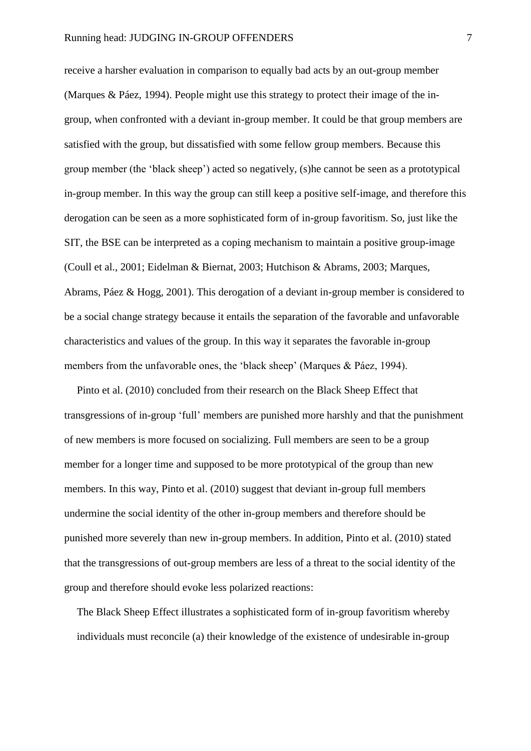receive a harsher evaluation in comparison to equally bad acts by an out-group member (Marques & Páez, 1994). People might use this strategy to protect their image of the ingroup, when confronted with a deviant in-group member. It could be that group members are satisfied with the group, but dissatisfied with some fellow group members. Because this group member (the 'black sheep') acted so negatively, (s)he cannot be seen as a prototypical in-group member. In this way the group can still keep a positive self-image, and therefore this derogation can be seen as a more sophisticated form of in-group favoritism. So, just like the SIT, the BSE can be interpreted as a coping mechanism to maintain a positive group-image (Coull et al., 2001; Eidelman & Biernat, 2003; Hutchison & Abrams, 2003; Marques, Abrams, Páez & Hogg, 2001). This derogation of a deviant in-group member is considered to be a social change strategy because it entails the separation of the favorable and unfavorable characteristics and values of the group. In this way it separates the favorable in-group members from the unfavorable ones, the 'black sheep' (Marques & Páez, 1994).

Pinto et al. (2010) concluded from their research on the Black Sheep Effect that transgressions of in-group 'full' members are punished more harshly and that the punishment of new members is more focused on socializing. Full members are seen to be a group member for a longer time and supposed to be more prototypical of the group than new members. In this way, Pinto et al. (2010) suggest that deviant in-group full members undermine the social identity of the other in-group members and therefore should be punished more severely than new in-group members. In addition, Pinto et al. (2010) stated that the transgressions of out-group members are less of a threat to the social identity of the group and therefore should evoke less polarized reactions:

The Black Sheep Effect illustrates a sophisticated form of in-group favoritism whereby individuals must reconcile (a) their knowledge of the existence of undesirable in-group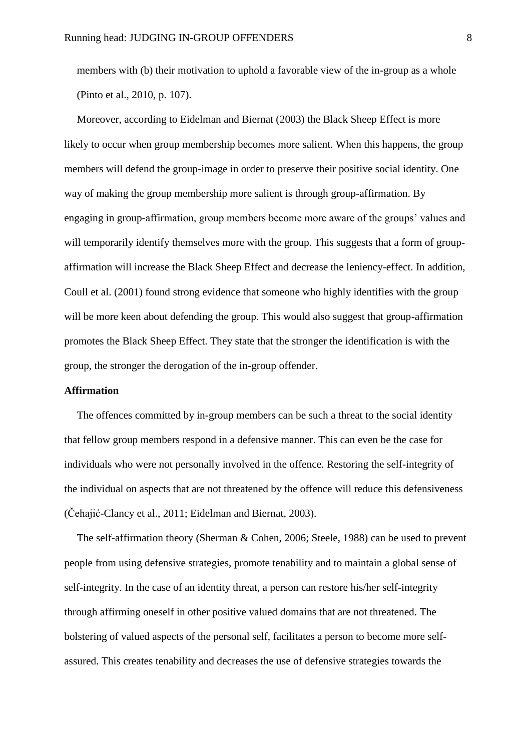members with (b) their motivation to uphold a favorable view of the in-group as a whole (Pinto et al., 2010, p. 107).

Moreover, according to Eidelman and Biernat (2003) the Black Sheep Effect is more likely to occur when group membership becomes more salient. When this happens, the group members will defend the group-image in order to preserve their positive social identity. One way of making the group membership more salient is through group-affirmation. By engaging in group-affirmation, group members become more aware of the groups' values and will temporarily identify themselves more with the group. This suggests that a form of groupaffirmation will increase the Black Sheep Effect and decrease the leniency-effect. In addition, Coull et al. (2001) found strong evidence that someone who highly identifies with the group will be more keen about defending the group. This would also suggest that group-affirmation promotes the Black Sheep Effect. They state that the stronger the identification is with the group, the stronger the derogation of the in-group offender.

## **Affirmation**

The offences committed by in-group members can be such a threat to the social identity that fellow group members respond in a defensive manner. This can even be the case for individuals who were not personally involved in the offence. Restoring the self-integrity of the individual on aspects that are not threatened by the offence will reduce this defensiveness (Čehajić-Clancy et al., 2011; Eidelman and Biernat, 2003).

The self-affirmation theory (Sherman & Cohen, 2006; Steele, 1988) can be used to prevent people from using defensive strategies, promote tenability and to maintain a global sense of self-integrity. In the case of an identity threat, a person can restore his/her self-integrity through affirming oneself in other positive valued domains that are not threatened. The bolstering of valued aspects of the personal self, facilitates a person to become more selfassured. This creates tenability and decreases the use of defensive strategies towards the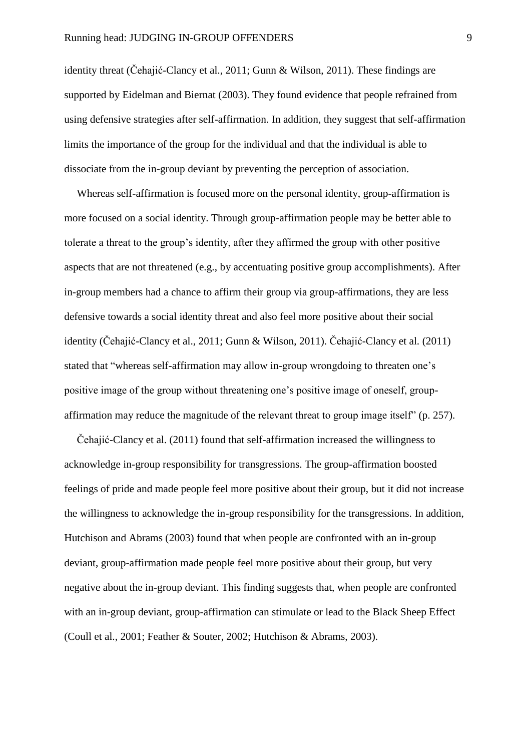identity threat (Čehajić-Clancy et al., 2011; Gunn & Wilson, 2011). These findings are supported by Eidelman and Biernat (2003). They found evidence that people refrained from using defensive strategies after self-affirmation. In addition, they suggest that self-affirmation limits the importance of the group for the individual and that the individual is able to dissociate from the in-group deviant by preventing the perception of association.

Whereas self-affirmation is focused more on the personal identity, group-affirmation is more focused on a social identity. Through group-affirmation people may be better able to tolerate a threat to the group's identity, after they affirmed the group with other positive aspects that are not threatened (e.g., by accentuating positive group accomplishments). After in-group members had a chance to affirm their group via group-affirmations, they are less defensive towards a social identity threat and also feel more positive about their social identity (Čehajić-Clancy et al., 2011; Gunn & Wilson, 2011). Čehajić-Clancy et al. (2011) stated that "whereas self-affirmation may allow in-group wrongdoing to threaten one's positive image of the group without threatening one's positive image of oneself, groupaffirmation may reduce the magnitude of the relevant threat to group image itself" (p. 257).

Čehajić-Clancy et al. (2011) found that self-affirmation increased the willingness to acknowledge in-group responsibility for transgressions. The group-affirmation boosted feelings of pride and made people feel more positive about their group, but it did not increase the willingness to acknowledge the in-group responsibility for the transgressions. In addition, Hutchison and Abrams (2003) found that when people are confronted with an in-group deviant, group-affirmation made people feel more positive about their group, but very negative about the in-group deviant. This finding suggests that, when people are confronted with an in-group deviant, group-affirmation can stimulate or lead to the Black Sheep Effect (Coull et al., 2001; Feather & Souter, 2002; Hutchison & Abrams, 2003).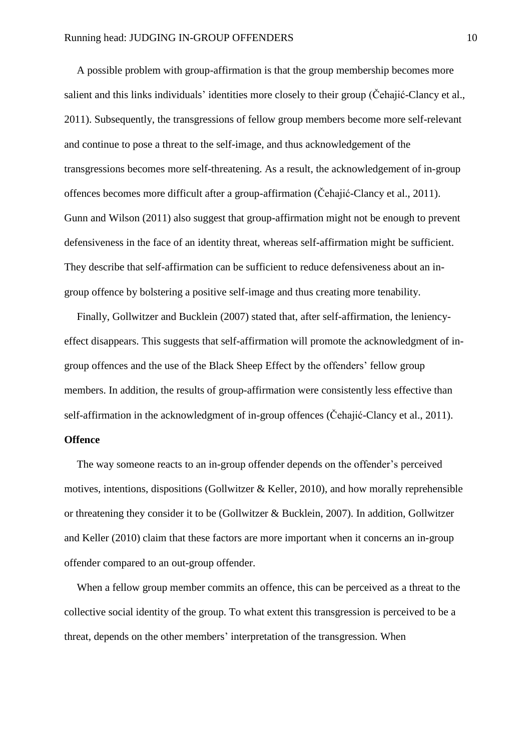A possible problem with group-affirmation is that the group membership becomes more salient and this links individuals' identities more closely to their group (Čehajić-Clancy et al., 2011). Subsequently, the transgressions of fellow group members become more self-relevant and continue to pose a threat to the self-image, and thus acknowledgement of the transgressions becomes more self-threatening. As a result, the acknowledgement of in-group offences becomes more difficult after a group-affirmation (Čehajić-Clancy et al., 2011). Gunn and Wilson (2011) also suggest that group-affirmation might not be enough to prevent defensiveness in the face of an identity threat, whereas self-affirmation might be sufficient. They describe that self-affirmation can be sufficient to reduce defensiveness about an ingroup offence by bolstering a positive self-image and thus creating more tenability.

Finally, Gollwitzer and Bucklein (2007) stated that, after self-affirmation, the leniencyeffect disappears. This suggests that self-affirmation will promote the acknowledgment of ingroup offences and the use of the Black Sheep Effect by the offenders' fellow group members. In addition, the results of group-affirmation were consistently less effective than self-affirmation in the acknowledgment of in-group offences (Čehajić-Clancy et al., 2011).

## **Offence**

The way someone reacts to an in-group offender depends on the offender's perceived motives, intentions, dispositions (Gollwitzer & Keller, 2010), and how morally reprehensible or threatening they consider it to be (Gollwitzer & Bucklein, 2007). In addition, Gollwitzer and Keller (2010) claim that these factors are more important when it concerns an in-group offender compared to an out-group offender.

When a fellow group member commits an offence, this can be perceived as a threat to the collective social identity of the group. To what extent this transgression is perceived to be a threat, depends on the other members' interpretation of the transgression. When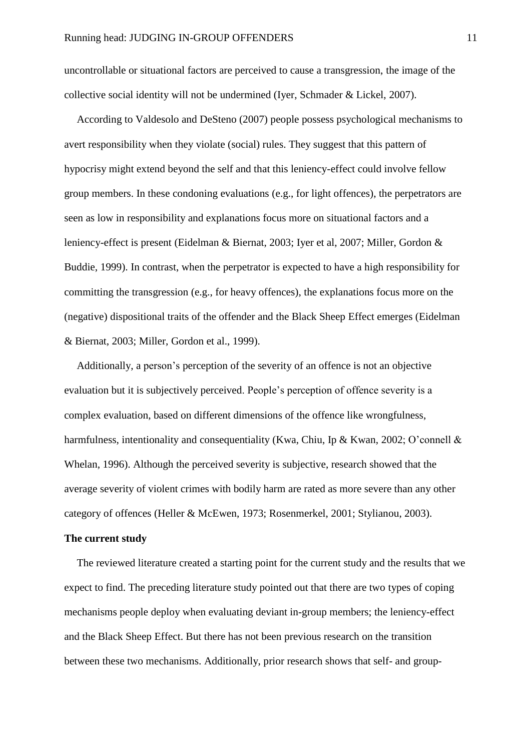uncontrollable or situational factors are perceived to cause a transgression, the image of the collective social identity will not be undermined (Iyer, Schmader & Lickel, 2007).

According to Valdesolo and DeSteno (2007) people possess psychological mechanisms to avert responsibility when they violate (social) rules. They suggest that this pattern of hypocrisy might extend beyond the self and that this leniency-effect could involve fellow group members. In these condoning evaluations (e.g., for light offences), the perpetrators are seen as low in responsibility and explanations focus more on situational factors and a leniency-effect is present (Eidelman & Biernat, 2003; Iyer et al, 2007; Miller, Gordon & Buddie, 1999). In contrast, when the perpetrator is expected to have a high responsibility for committing the transgression (e.g., for heavy offences), the explanations focus more on the (negative) dispositional traits of the offender and the Black Sheep Effect emerges (Eidelman & Biernat, 2003; Miller, Gordon et al., 1999).

Additionally, a person's perception of the severity of an offence is not an objective evaluation but it is subjectively perceived. People's perception of offence severity is a complex evaluation, based on different dimensions of the offence like wrongfulness, harmfulness, intentionality and consequentiality (Kwa, Chiu, Ip & Kwan, 2002; O'connell & Whelan, 1996). Although the perceived severity is subjective, research showed that the average severity of violent crimes with bodily harm are rated as more severe than any other category of offences (Heller & McEwen, 1973; Rosenmerkel, 2001; Stylianou, 2003).

## **The current study**

The reviewed literature created a starting point for the current study and the results that we expect to find. The preceding literature study pointed out that there are two types of coping mechanisms people deploy when evaluating deviant in-group members; the leniency-effect and the Black Sheep Effect. But there has not been previous research on the transition between these two mechanisms. Additionally, prior research shows that self- and group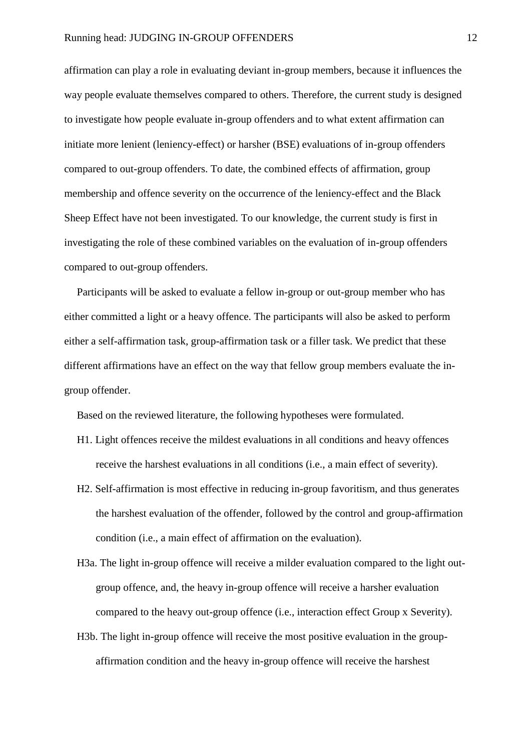affirmation can play a role in evaluating deviant in-group members, because it influences the way people evaluate themselves compared to others. Therefore, the current study is designed to investigate how people evaluate in-group offenders and to what extent affirmation can initiate more lenient (leniency-effect) or harsher (BSE) evaluations of in-group offenders compared to out-group offenders. To date, the combined effects of affirmation, group membership and offence severity on the occurrence of the leniency-effect and the Black Sheep Effect have not been investigated. To our knowledge, the current study is first in investigating the role of these combined variables on the evaluation of in-group offenders compared to out-group offenders.

Participants will be asked to evaluate a fellow in-group or out-group member who has either committed a light or a heavy offence. The participants will also be asked to perform either a self-affirmation task, group-affirmation task or a filler task. We predict that these different affirmations have an effect on the way that fellow group members evaluate the ingroup offender.

Based on the reviewed literature, the following hypotheses were formulated.

- H1. Light offences receive the mildest evaluations in all conditions and heavy offences receive the harshest evaluations in all conditions (i.e., a main effect of severity).
- H2. Self-affirmation is most effective in reducing in-group favoritism, and thus generates the harshest evaluation of the offender, followed by the control and group-affirmation condition (i.e., a main effect of affirmation on the evaluation).
- H3a. The light in-group offence will receive a milder evaluation compared to the light outgroup offence, and, the heavy in-group offence will receive a harsher evaluation compared to the heavy out-group offence (i.e., interaction effect Group x Severity).
- H3b. The light in-group offence will receive the most positive evaluation in the groupaffirmation condition and the heavy in-group offence will receive the harshest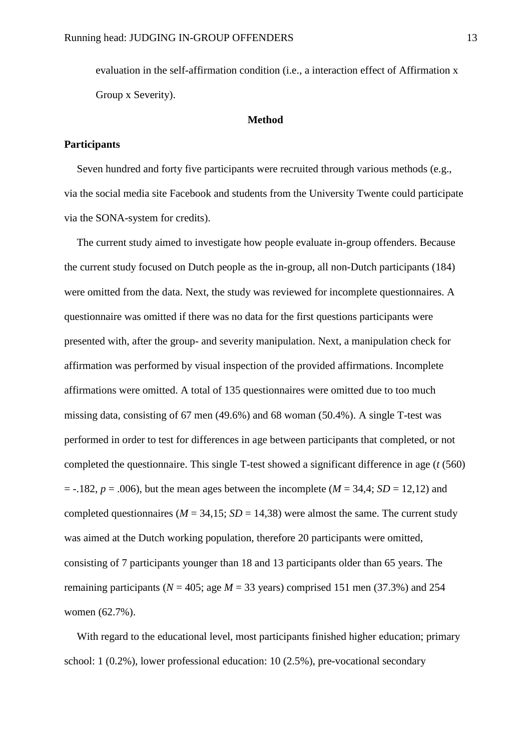evaluation in the self-affirmation condition (i.e., a interaction effect of Affirmation x Group x Severity).

#### **Method**

## **Participants**

Seven hundred and forty five participants were recruited through various methods (e.g., via the social media site Facebook and students from the University Twente could participate via the SONA-system for credits).

The current study aimed to investigate how people evaluate in-group offenders. Because the current study focused on Dutch people as the in-group, all non-Dutch participants (184) were omitted from the data. Next, the study was reviewed for incomplete questionnaires. A questionnaire was omitted if there was no data for the first questions participants were presented with, after the group- and severity manipulation. Next, a manipulation check for affirmation was performed by visual inspection of the provided affirmations. Incomplete affirmations were omitted. A total of 135 questionnaires were omitted due to too much missing data, consisting of 67 men (49.6%) and 68 woman (50.4%). A single T-test was performed in order to test for differences in age between participants that completed, or not completed the questionnaire. This single T-test showed a significant difference in age (*t* (560)  $= -.182, p = .006$ , but the mean ages between the incomplete ( $M = 34.4$ ; *SD* = 12,12) and completed questionnaires ( $M = 34,15$ ;  $SD = 14,38$ ) were almost the same. The current study was aimed at the Dutch working population, therefore 20 participants were omitted, consisting of 7 participants younger than 18 and 13 participants older than 65 years. The remaining participants ( $N = 405$ ; age  $M = 33$  years) comprised 151 men (37.3%) and 254 women (62.7%).

With regard to the educational level, most participants finished higher education; primary school: 1 (0.2%), lower professional education: 10 (2.5%), pre-vocational secondary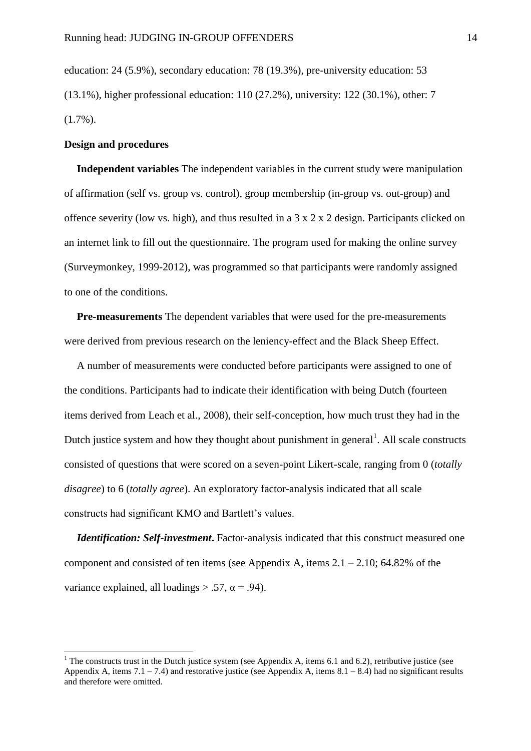education: 24 (5.9%), secondary education: 78 (19.3%), pre-university education: 53 (13.1%), higher professional education: 110 (27.2%), university: 122 (30.1%), other: 7  $(1.7\%)$ .

## **Design and procedures**

1

**Independent variables** The independent variables in the current study were manipulation of affirmation (self vs. group vs. control), group membership (in-group vs. out-group) and offence severity (low vs. high), and thus resulted in a 3 x 2 x 2 design. Participants clicked on an internet link to fill out the questionnaire. The program used for making the online survey (Surveymonkey, 1999-2012), was programmed so that participants were randomly assigned to one of the conditions.

**Pre-measurements** The dependent variables that were used for the pre-measurements were derived from previous research on the leniency-effect and the Black Sheep Effect.

A number of measurements were conducted before participants were assigned to one of the conditions. Participants had to indicate their identification with being Dutch (fourteen items derived from Leach et al., 2008), their self-conception, how much trust they had in the Dutch justice system and how they thought about punishment in general<sup>1</sup>. All scale constructs consisted of questions that were scored on a seven-point Likert-scale, ranging from 0 (*totally disagree*) to 6 (*totally agree*). An exploratory factor-analysis indicated that all scale constructs had significant KMO and Bartlett's values.

*Identification: Self-investment***.** Factor-analysis indicated that this construct measured one component and consisted of ten items (see Appendix A, items  $2.1 - 2.10$ ; 64.82% of the variance explained, all loadings  $> .57$ ,  $\alpha = .94$ ).

<sup>&</sup>lt;sup>1</sup> The constructs trust in the Dutch justice system (see Appendix A, items 6.1 and 6.2), retributive justice (see Appendix A, items  $7.1 - 7.4$ ) and restorative justice (see Appendix A, items  $8.1 - 8.4$ ) had no significant results and therefore were omitted.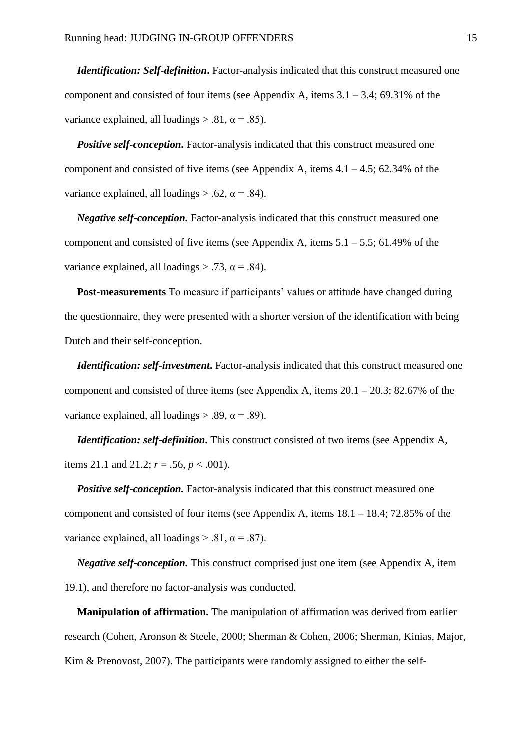*Identification: Self-definition***.** Factor-analysis indicated that this construct measured one component and consisted of four items (see Appendix A, items  $3.1 - 3.4$ ; 69.31% of the variance explained, all loadings  $> .81$ ,  $\alpha = .85$ ).

*Positive self-conception.* Factor-analysis indicated that this construct measured one component and consisted of five items (see Appendix A, items  $4.1 - 4.5$ ;  $62.34\%$  of the variance explained, all loadings  $> .62$ ,  $\alpha = .84$ ).

*Negative self-conception.* Factor-analysis indicated that this construct measured one component and consisted of five items (see Appendix A, items  $5.1 - 5.5$ ; 61.49% of the variance explained, all loadings  $> .73$ ,  $\alpha = .84$ ).

**Post-measurements** To measure if participants' values or attitude have changed during the questionnaire, they were presented with a shorter version of the identification with being Dutch and their self-conception.

*Identification: self-investment*. Factor-analysis indicated that this construct measured one component and consisted of three items (see Appendix A, items  $20.1 - 20.3$ ; 82.67% of the variance explained, all loadings  $> .89$ ,  $\alpha = .89$ ).

*Identification: self-definition*. This construct consisted of two items (see Appendix A, items 21.1 and 21.2;  $r = .56$ ,  $p < .001$ ).

*Positive self-conception.* Factor-analysis indicated that this construct measured one component and consisted of four items (see Appendix A, items  $18.1 - 18.4$ ; 72.85% of the variance explained, all loadings  $> .81$ ,  $\alpha = .87$ ).

*Negative self-conception.* This construct comprised just one item (see Appendix A, item 19.1), and therefore no factor-analysis was conducted.

**Manipulation of affirmation.** The manipulation of affirmation was derived from earlier research (Cohen, Aronson & Steele, 2000; Sherman & Cohen, 2006; Sherman, Kinias, Major, Kim & Prenovost, 2007). The participants were randomly assigned to either the self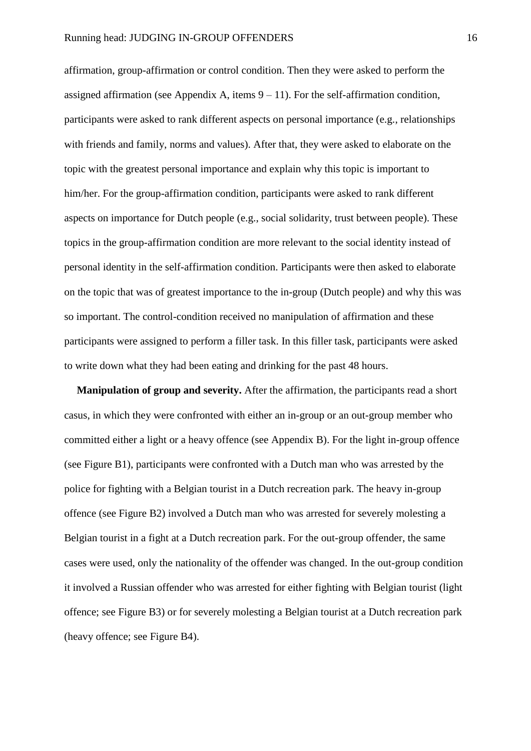affirmation, group-affirmation or control condition. Then they were asked to perform the assigned affirmation (see Appendix A, items  $9 - 11$ ). For the self-affirmation condition, participants were asked to rank different aspects on personal importance (e.g., relationships with friends and family, norms and values). After that, they were asked to elaborate on the topic with the greatest personal importance and explain why this topic is important to him/her. For the group-affirmation condition, participants were asked to rank different aspects on importance for Dutch people (e.g., social solidarity, trust between people). These topics in the group-affirmation condition are more relevant to the social identity instead of personal identity in the self-affirmation condition. Participants were then asked to elaborate on the topic that was of greatest importance to the in-group (Dutch people) and why this was so important. The control-condition received no manipulation of affirmation and these participants were assigned to perform a filler task. In this filler task, participants were asked to write down what they had been eating and drinking for the past 48 hours.

**Manipulation of group and severity.** After the affirmation, the participants read a short casus, in which they were confronted with either an in-group or an out-group member who committed either a light or a heavy offence (see Appendix B). For the light in-group offence (see Figure B1), participants were confronted with a Dutch man who was arrested by the police for fighting with a Belgian tourist in a Dutch recreation park. The heavy in-group offence (see Figure B2) involved a Dutch man who was arrested for severely molesting a Belgian tourist in a fight at a Dutch recreation park. For the out-group offender, the same cases were used, only the nationality of the offender was changed. In the out-group condition it involved a Russian offender who was arrested for either fighting with Belgian tourist (light offence; see Figure B3) or for severely molesting a Belgian tourist at a Dutch recreation park (heavy offence; see Figure B4).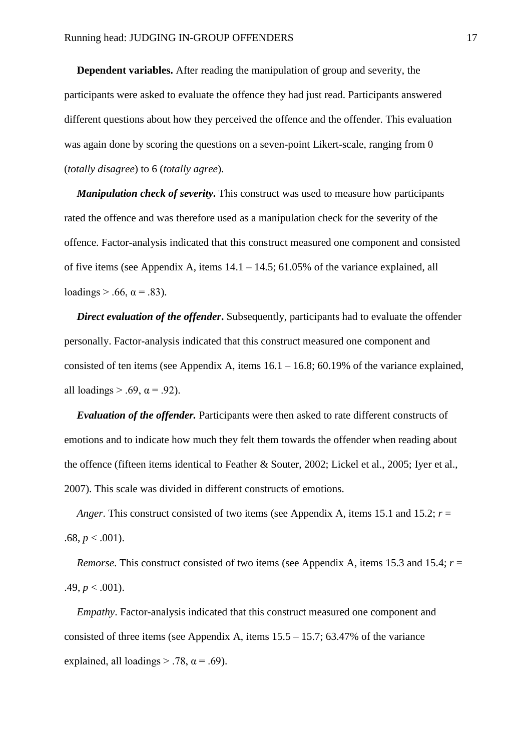**Dependent variables.** After reading the manipulation of group and severity, the participants were asked to evaluate the offence they had just read. Participants answered different questions about how they perceived the offence and the offender. This evaluation was again done by scoring the questions on a seven-point Likert-scale, ranging from 0 (*totally disagree*) to 6 (*totally agree*).

*Manipulation check of severity*. This construct was used to measure how participants rated the offence and was therefore used as a manipulation check for the severity of the offence. Factor-analysis indicated that this construct measured one component and consisted of five items (see Appendix A, items 14.1 – 14.5; 61.05% of the variance explained, all loadings  $> .66$ ,  $\alpha = .83$ ).

**Direct evaluation of the offender.** Subsequently, participants had to evaluate the offender personally. Factor-analysis indicated that this construct measured one component and consisted of ten items (see Appendix A, items  $16.1 - 16.8$ ;  $60.19\%$  of the variance explained, all loadings  $> .69$ ,  $\alpha = .92$ ).

*Evaluation of the offender.* Participants were then asked to rate different constructs of emotions and to indicate how much they felt them towards the offender when reading about the offence (fifteen items identical to Feather & Souter, 2002; Lickel et al., 2005; Iyer et al., 2007). This scale was divided in different constructs of emotions.

*Anger*. This construct consisted of two items (see Appendix A, items 15.1 and 15.2; *r* = .68,  $p < .001$ ).

*Remorse*. This construct consisted of two items (see Appendix A, items 15.3 and 15.4; *r* = .49,  $p < .001$ ).

*Empathy*. Factor-analysis indicated that this construct measured one component and consisted of three items (see Appendix A, items  $15.5 - 15.7$ ;  $63.47\%$  of the variance explained, all loadings  $> .78$ ,  $\alpha = .69$ ).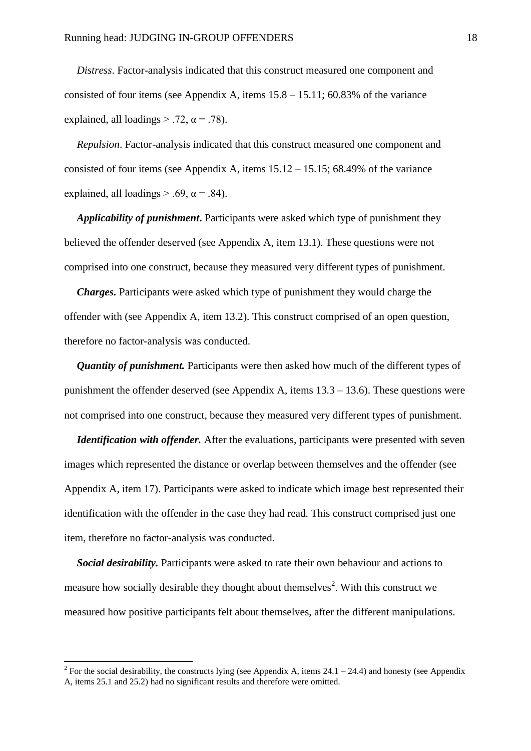*Distress*. Factor-analysis indicated that this construct measured one component and consisted of four items (see Appendix A, items  $15.8 - 15.11$ ;  $60.83\%$  of the variance explained, all loadings  $> .72$ ,  $\alpha = .78$ ).

*Repulsion*. Factor-analysis indicated that this construct measured one component and consisted of four items (see Appendix A, items 15.12 – 15.15; 68.49% of the variance explained, all loadings  $> .69$ ,  $\alpha = .84$ ).

*Applicability of punishment***.** Participants were asked which type of punishment they believed the offender deserved (see Appendix A, item 13.1). These questions were not comprised into one construct, because they measured very different types of punishment.

*Charges.* Participants were asked which type of punishment they would charge the offender with (see Appendix A, item 13.2). This construct comprised of an open question, therefore no factor-analysis was conducted.

*Quantity of punishment.* Participants were then asked how much of the different types of punishment the offender deserved (see Appendix A, items 13.3 – 13.6). These questions were not comprised into one construct, because they measured very different types of punishment.

*Identification with offender.* After the evaluations, participants were presented with seven images which represented the distance or overlap between themselves and the offender (see Appendix A, item 17). Participants were asked to indicate which image best represented their identification with the offender in the case they had read. This construct comprised just one item, therefore no factor-analysis was conducted.

*Social desirability.* Participants were asked to rate their own behaviour and actions to measure how socially desirable they thought about themselves<sup>2</sup>. With this construct we measured how positive participants felt about themselves, after the different manipulations.

**.** 

<sup>&</sup>lt;sup>2</sup> For the social desirability, the constructs lying (see Appendix A, items 24.1 – 24.4) and honesty (see Appendix A, items 25.1 and 25.2) had no significant results and therefore were omitted.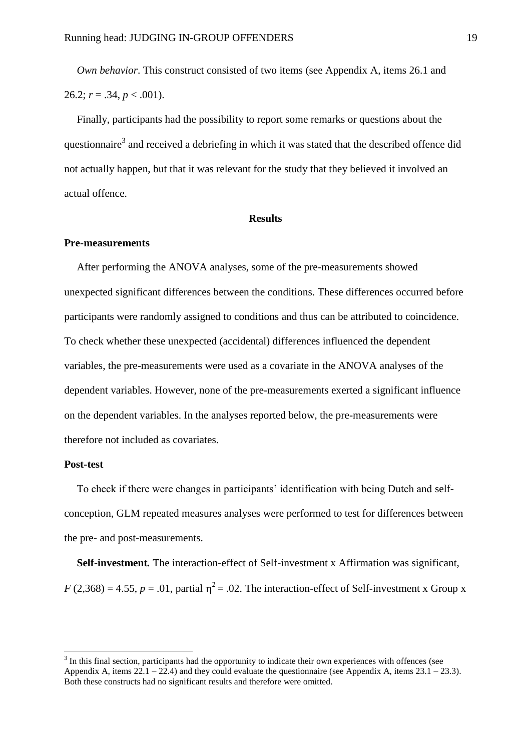*Own behavior*. This construct consisted of two items (see Appendix A, items 26.1 and 26.2;  $r = .34$ ,  $p < .001$ ).

Finally, participants had the possibility to report some remarks or questions about the questionnaire<sup>3</sup> and received a debriefing in which it was stated that the described offence did not actually happen, but that it was relevant for the study that they believed it involved an actual offence.

#### **Results**

#### **Pre-measurements**

After performing the ANOVA analyses, some of the pre-measurements showed unexpected significant differences between the conditions. These differences occurred before participants were randomly assigned to conditions and thus can be attributed to coincidence. To check whether these unexpected (accidental) differences influenced the dependent variables, the pre-measurements were used as a covariate in the ANOVA analyses of the dependent variables. However, none of the pre-measurements exerted a significant influence on the dependent variables. In the analyses reported below, the pre-measurements were therefore not included as covariates.

## **Post-test**

1

To check if there were changes in participants' identification with being Dutch and selfconception, GLM repeated measures analyses were performed to test for differences between the pre- and post-measurements.

**Self-investment***.* The interaction-effect of Self-investment x Affirmation was significant,  $F(2,368) = 4.55$ ,  $p = .01$ , partial  $\eta^2 = .02$ . The interaction-effect of Self-investment x Group x

<sup>&</sup>lt;sup>3</sup> In this final section, participants had the opportunity to indicate their own experiences with offences (see Appendix A, items  $22.1 - 22.4$ ) and they could evaluate the questionnaire (see Appendix A, items  $23.1 - 23.3$ ). Both these constructs had no significant results and therefore were omitted.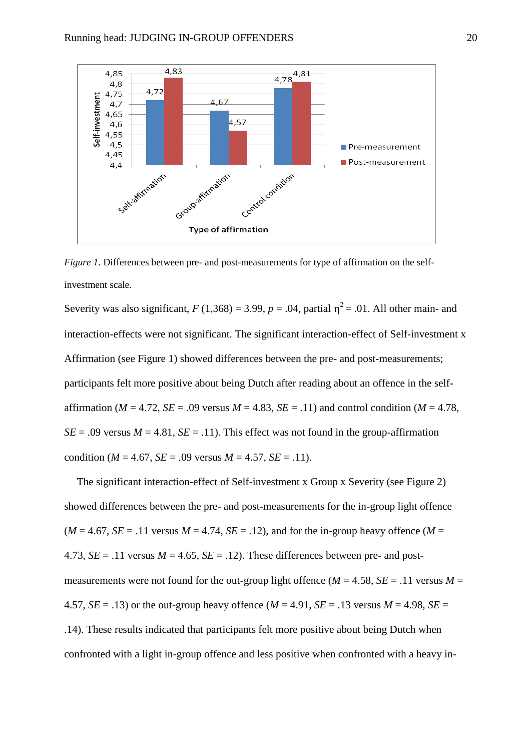

*Figure 1.* Differences between pre- and post-measurements for type of affirmation on the selfinvestment scale.

Severity was also significant,  $F(1,368) = 3.99$ ,  $p = .04$ , partial  $\eta^2 = .01$ . All other main- and interaction-effects were not significant. The significant interaction-effect of Self-investment x Affirmation (see Figure 1) showed differences between the pre- and post-measurements; participants felt more positive about being Dutch after reading about an offence in the selfaffirmation ( $M = 4.72$ ,  $SE = .09$  versus  $M = 4.83$ ,  $SE = .11$ ) and control condition ( $M = 4.78$ ,  $SE = .09$  versus  $M = 4.81$ ,  $SE = .11$ ). This effect was not found in the group-affirmation condition ( $M = 4.67$ ,  $SE = .09$  versus  $M = 4.57$ ,  $SE = .11$ ).

The significant interaction-effect of Self-investment x Group x Severity (see Figure 2) showed differences between the pre- and post-measurements for the in-group light offence  $(M = 4.67, SE = .11$  versus  $M = 4.74, SE = .12$ ), and for the in-group heavy offence  $(M =$ 4.73,  $SE = .11$  versus  $M = 4.65$ ,  $SE = .12$ ). These differences between pre- and postmeasurements were not found for the out-group light offence ( $M = 4.58$ ,  $SE = .11$  versus  $M =$ 4.57,  $SE = .13$ ) or the out-group heavy offence ( $M = 4.91$ ,  $SE = .13$  versus  $M = 4.98$ ,  $SE =$ .14). These results indicated that participants felt more positive about being Dutch when confronted with a light in-group offence and less positive when confronted with a heavy in-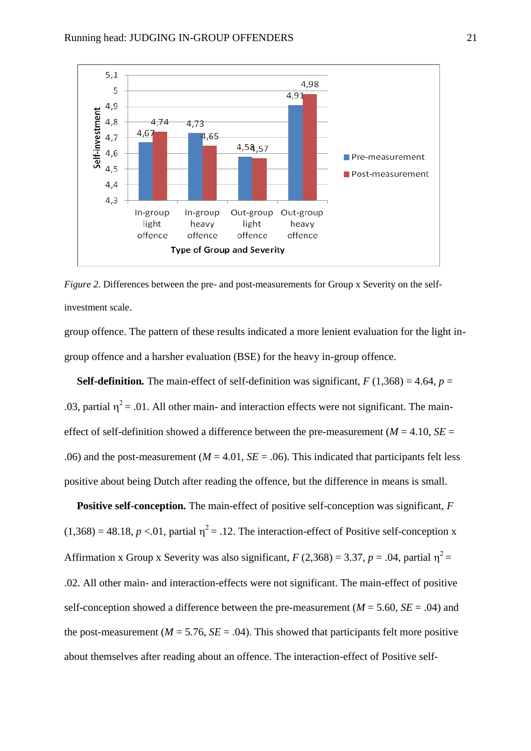

*Figure 2.* Differences between the pre- and post-measurements for Group x Severity on the selfinvestment scale.

group offence. The pattern of these results indicated a more lenient evaluation for the light ingroup offence and a harsher evaluation (BSE) for the heavy in-group offence.

**Self-definition.** The main-effect of self-definition was significant,  $F(1,368) = 4.64$ ,  $p =$ .03, partial  $\eta^2$  = .01. All other main- and interaction effects were not significant. The maineffect of self-definition showed a difference between the pre-measurement ( $M = 4.10$ ,  $SE =$ .06) and the post-measurement ( $M = 4.01$ ,  $SE = .06$ ). This indicated that participants felt less positive about being Dutch after reading the offence, but the difference in means is small.

**Positive self-conception***.* The main-effect of positive self-conception was significant, *F*  $(1,368) = 48.18$ ,  $p < 0.01$ , partial  $\eta^2 = 0.12$ . The interaction-effect of Positive self-conception x Affirmation x Group x Severity was also significant,  $F(2,368) = 3.37$ ,  $p = .04$ , partial  $\eta^2 =$ .02. All other main- and interaction-effects were not significant. The main-effect of positive self-conception showed a difference between the pre-measurement ( $M = 5.60$ ,  $SE = .04$ ) and the post-measurement ( $M = 5.76$ ,  $SE = .04$ ). This showed that participants felt more positive about themselves after reading about an offence. The interaction-effect of Positive self-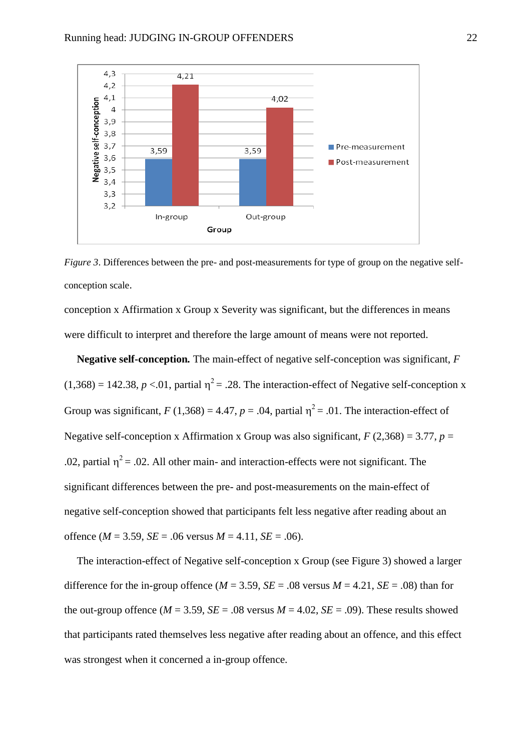

*Figure 3*. Differences between the pre- and post-measurements for type of group on the negative selfconception scale.

conception x Affirmation x Group x Severity was significant, but the differences in means were difficult to interpret and therefore the large amount of means were not reported.

**Negative self-conception***.* The main-effect of negative self-conception was significant, *F*  $(1,368) = 142.38, p < 0.01$ , partial  $\eta^2 = .28$ . The interaction-effect of Negative self-conception x Group was significant,  $F(1,368) = 4.47$ ,  $p = .04$ , partial  $\eta^2 = .01$ . The interaction-effect of Negative self-conception x Affirmation x Group was also significant,  $F(2,368) = 3.77$ ,  $p =$ .02, partial  $\eta^2$  = .02. All other main- and interaction-effects were not significant. The significant differences between the pre- and post-measurements on the main-effect of negative self-conception showed that participants felt less negative after reading about an offence ( $M = 3.59$ ,  $SE = .06$  versus  $M = 4.11$ ,  $SE = .06$ ).

The interaction-effect of Negative self-conception x Group (see Figure 3) showed a larger difference for the in-group offence  $(M = 3.59, SE = .08$  versus  $M = 4.21, SE = .08$ ) than for the out-group offence ( $M = 3.59$ ,  $SE = .08$  versus  $M = 4.02$ ,  $SE = .09$ ). These results showed that participants rated themselves less negative after reading about an offence, and this effect was strongest when it concerned a in-group offence.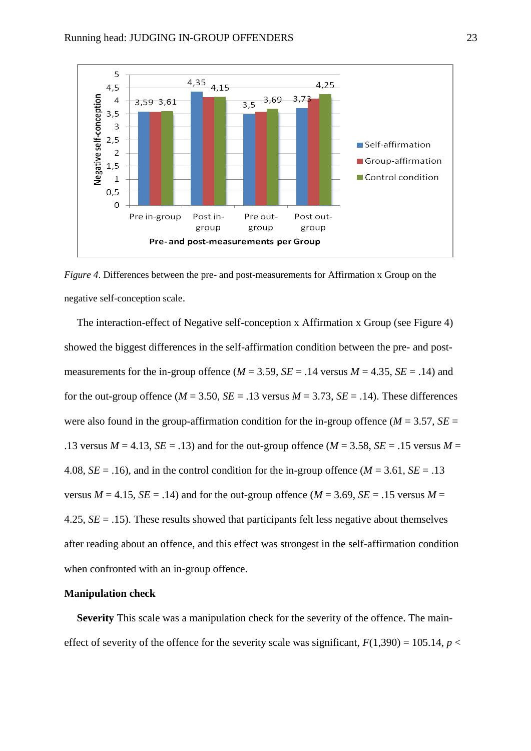

*Figure 4*. Differences between the pre- and post-measurements for Affirmation x Group on the negative self-conception scale.

The interaction-effect of Negative self-conception x Affirmation x Group (see Figure 4) showed the biggest differences in the self-affirmation condition between the pre- and postmeasurements for the in-group offence ( $M = 3.59$ ,  $SE = .14$  versus  $M = 4.35$ ,  $SE = .14$ ) and for the out-group offence ( $M = 3.50$ ,  $SE = .13$  versus  $M = 3.73$ ,  $SE = .14$ ). These differences were also found in the group-affirmation condition for the in-group offence ( $M = 3.57$ ,  $SE =$ .13 versus  $M = 4.13$ ,  $SE = .13$ ) and for the out-group offence ( $M = 3.58$ ,  $SE = .15$  versus  $M =$ 4.08,  $SE = .16$ ), and in the control condition for the in-group offence  $(M = 3.61, SE = .13)$ versus  $M = 4.15$ ,  $SE = .14$ ) and for the out-group offence ( $M = 3.69$ ,  $SE = .15$  versus  $M =$ 4.25, *SE* = .15). These results showed that participants felt less negative about themselves after reading about an offence, and this effect was strongest in the self-affirmation condition when confronted with an in-group offence.

#### **Manipulation check**

**Severity** This scale was a manipulation check for the severity of the offence. The maineffect of severity of the offence for the severity scale was significant,  $F(1,390) = 105.14$ ,  $p <$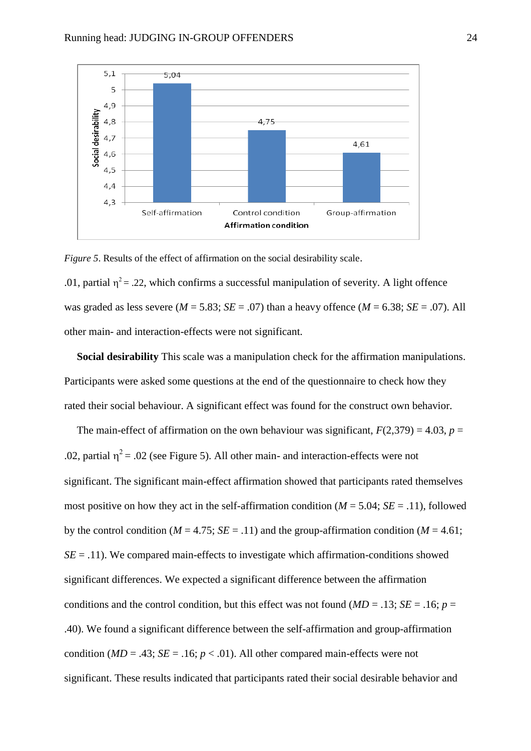

*Figure 5*. Results of the effect of affirmation on the social desirability scale.

.01, partial  $\eta^2$  = .22, which confirms a successful manipulation of severity. A light offence was graded as less severe ( $M = 5.83$ ;  $SE = .07$ ) than a heavy offence ( $M = 6.38$ ;  $SE = .07$ ). All other main- and interaction-effects were not significant.

**Social desirability** This scale was a manipulation check for the affirmation manipulations. Participants were asked some questions at the end of the questionnaire to check how they rated their social behaviour. A significant effect was found for the construct own behavior.

The main-effect of affirmation on the own behaviour was significant,  $F(2,379) = 4.03$ ,  $p =$ .02, partial  $\eta^2$  = .02 (see Figure 5). All other main- and interaction-effects were not significant. The significant main-effect affirmation showed that participants rated themselves most positive on how they act in the self-affirmation condition ( $M = 5.04$ ;  $SE = .11$ ), followed by the control condition ( $M = 4.75$ ;  $SE = .11$ ) and the group-affirmation condition ( $M = 4.61$ ;  $SE = .11$ ). We compared main-effects to investigate which affirmation-conditions showed significant differences. We expected a significant difference between the affirmation conditions and the control condition, but this effect was not found ( $MD = .13$ ; *SE* = .16; *p* = .40). We found a significant difference between the self-affirmation and group-affirmation condition ( $MD = .43$ ;  $SE = .16$ ;  $p < .01$ ). All other compared main-effects were not significant. These results indicated that participants rated their social desirable behavior and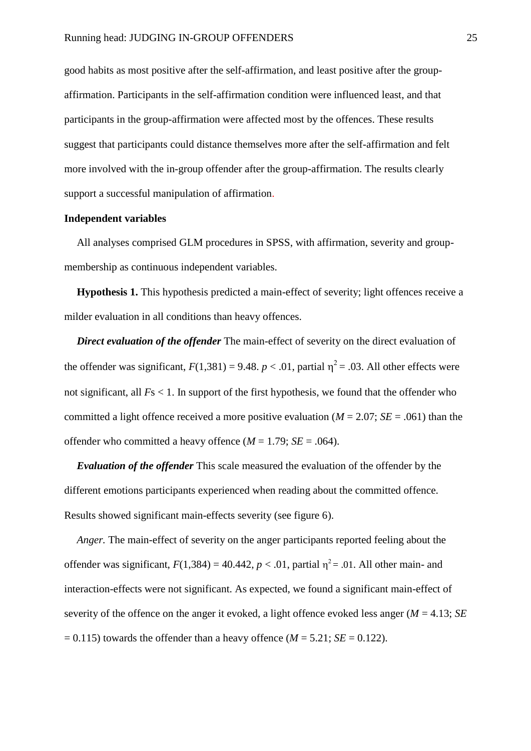good habits as most positive after the self-affirmation, and least positive after the groupaffirmation. Participants in the self-affirmation condition were influenced least, and that participants in the group-affirmation were affected most by the offences. These results suggest that participants could distance themselves more after the self-affirmation and felt more involved with the in-group offender after the group-affirmation. The results clearly support a successful manipulation of affirmation.

#### **Independent variables**

All analyses comprised GLM procedures in SPSS, with affirmation, severity and groupmembership as continuous independent variables.

**Hypothesis 1.** This hypothesis predicted a main-effect of severity; light offences receive a milder evaluation in all conditions than heavy offences.

*Direct evaluation of the offender* The main-effect of severity on the direct evaluation of the offender was significant,  $F(1,381) = 9.48$ .  $p < .01$ , partial  $\eta^2 = .03$ . All other effects were not significant, all *F*s < 1. In support of the first hypothesis, we found that the offender who committed a light offence received a more positive evaluation ( $M = 2.07$ ; *SE* = .061) than the offender who committed a heavy offence  $(M = 1.79; SE = .064)$ .

*Evaluation of the offender* This scale measured the evaluation of the offender by the different emotions participants experienced when reading about the committed offence. Results showed significant main-effects severity (see figure 6).

*Anger.* The main-effect of severity on the anger participants reported feeling about the offender was significant,  $F(1,384) = 40.442$ ,  $p < .01$ , partial  $\eta^2 = .01$ . All other main- and interaction-effects were not significant. As expected, we found a significant main-effect of severity of the offence on the anger it evoked, a light offence evoked less anger (*M* = 4.13; *SE*  $= 0.115$ ) towards the offender than a heavy offence ( $M = 5.21$ ; *SE* = 0.122).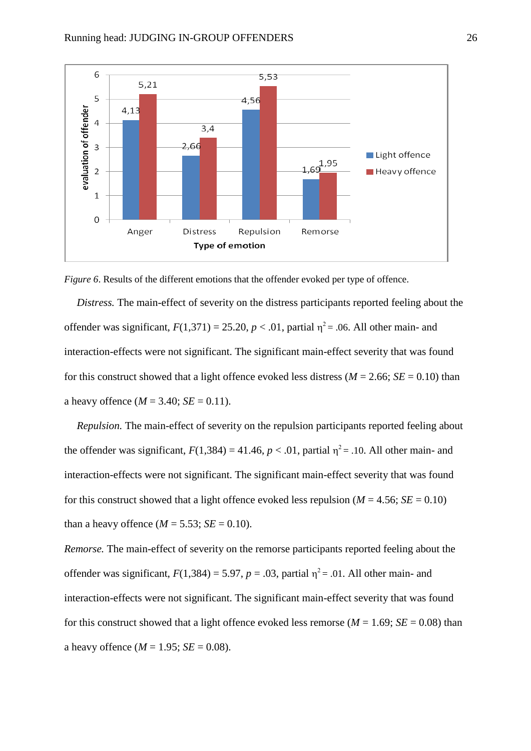

*Figure 6*. Results of the different emotions that the offender evoked per type of offence.

*Distress.* The main-effect of severity on the distress participants reported feeling about the offender was significant,  $F(1,371) = 25.20$ ,  $p < .01$ , partial  $\eta^2 = .06$ . All other main- and interaction-effects were not significant. The significant main-effect severity that was found for this construct showed that a light offence evoked less distress ( $M = 2.66$ ;  $SE = 0.10$ ) than a heavy offence  $(M = 3.40; SE = 0.11)$ .

*Repulsion.* The main-effect of severity on the repulsion participants reported feeling about the offender was significant,  $F(1,384) = 41.46$ ,  $p < .01$ , partial  $\eta^2 = .10$ . All other main- and interaction-effects were not significant. The significant main-effect severity that was found for this construct showed that a light offence evoked less repulsion ( $M = 4.56$ ;  $SE = 0.10$ ) than a heavy offence  $(M = 5.53; SE = 0.10)$ .

*Remorse.* The main-effect of severity on the remorse participants reported feeling about the offender was significant,  $F(1,384) = 5.97$ ,  $p = .03$ , partial  $\eta^2 = .01$ . All other main- and interaction-effects were not significant. The significant main-effect severity that was found for this construct showed that a light offence evoked less remorse ( $M = 1.69$ ;  $SE = 0.08$ ) than a heavy offence  $(M = 1.95; SE = 0.08)$ .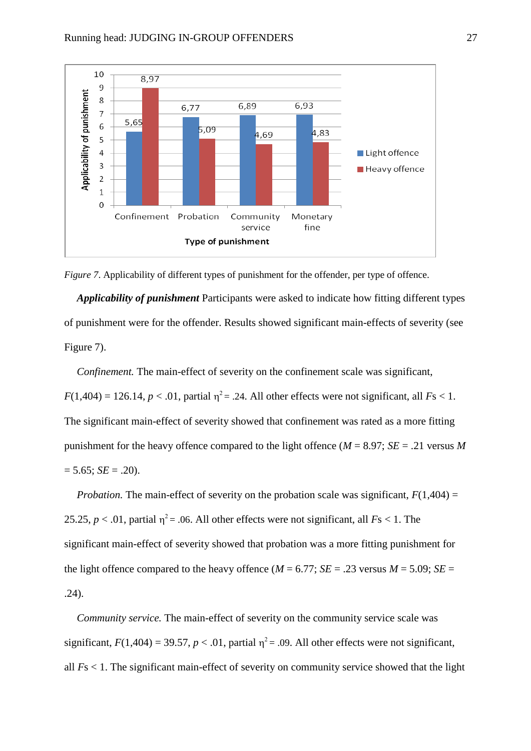

*Figure 7.* Applicability of different types of punishment for the offender, per type of offence.

*Applicability of punishment* Participants were asked to indicate how fitting different types of punishment were for the offender. Results showed significant main-effects of severity (see Figure 7).

*Confinement.* The main-effect of severity on the confinement scale was significant,  $F(1,404) = 126.14, p < .01$ , partial  $\eta^2 = .24$ . All other effects were not significant, all  $Fs < 1$ . The significant main-effect of severity showed that confinement was rated as a more fitting punishment for the heavy offence compared to the light offence ( $M = 8.97$ ;  $SE = .21$  versus M  $= 5.65$ ; *SE* = .20).

*Probation.* The main-effect of severity on the probation scale was significant,  $F(1,404) =$ 25.25,  $p < .01$ , partial  $\eta^2 = .06$ . All other effects were not significant, all  $Fs < 1$ . The significant main-effect of severity showed that probation was a more fitting punishment for the light offence compared to the heavy offence ( $M = 6.77$ ;  $SE = .23$  versus  $M = 5.09$ ;  $SE =$ .24).

*Community service.* The main-effect of severity on the community service scale was significant,  $F(1,404) = 39.57$ ,  $p < .01$ , partial  $\eta^2 = .09$ . All other effects were not significant, all *F*s < 1. The significant main-effect of severity on community service showed that the light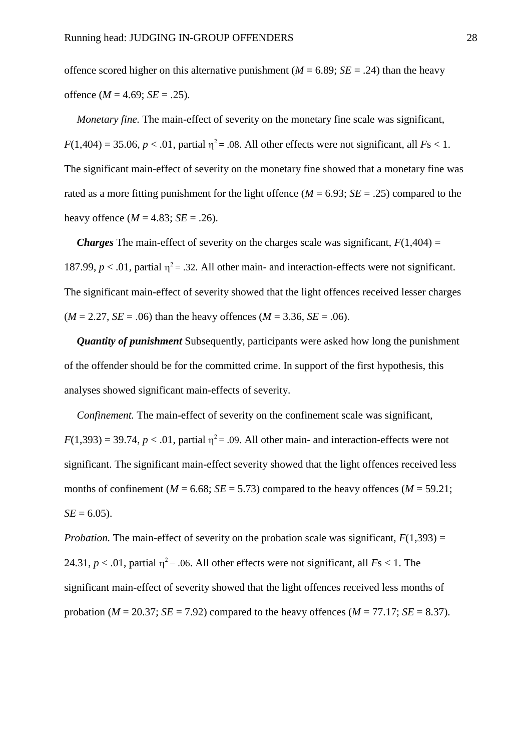offence scored higher on this alternative punishment ( $M = 6.89$ ;  $SE = .24$ ) than the heavy offence  $(M = 4.69; SE = .25)$ .

*Monetary fine.* The main-effect of severity on the monetary fine scale was significant,  $F(1,404) = 35.06$ ,  $p < .01$ , partial  $\eta^2 = .08$ . All other effects were not significant, all  $Fs < 1$ . The significant main-effect of severity on the monetary fine showed that a monetary fine was rated as a more fitting punishment for the light offence ( $M = 6.93$ ;  $SE = .25$ ) compared to the heavy offence ( $M = 4.83$ ; *SE* = .26).

*Charges* The main-effect of severity on the charges scale was significant,  $F(1,404) =$ 187.99,  $p < .01$ , partial  $\eta^2 = .32$ . All other main- and interaction-effects were not significant. The significant main-effect of severity showed that the light offences received lesser charges  $(M = 2.27, SE = .06)$  than the heavy offences  $(M = 3.36, SE = .06)$ .

*Quantity of punishment* Subsequently, participants were asked how long the punishment of the offender should be for the committed crime. In support of the first hypothesis, this analyses showed significant main-effects of severity.

*Confinement.* The main-effect of severity on the confinement scale was significant,  $F(1,393) = 39.74$ ,  $p < .01$ , partial  $\eta^2 = .09$ . All other main- and interaction-effects were not significant. The significant main-effect severity showed that the light offences received less months of confinement ( $M = 6.68$ ;  $SE = 5.73$ ) compared to the heavy offences ( $M = 59.21$ ;  $SE = 6.05$ .

*Probation.* The main-effect of severity on the probation scale was significant,  $F(1,393) =$ 24.31,  $p < .01$ , partial  $\eta^2 = .06$ . All other effects were not significant, all  $Fs < 1$ . The significant main-effect of severity showed that the light offences received less months of probation ( $M = 20.37$ ;  $SE = 7.92$ ) compared to the heavy offences ( $M = 77.17$ ;  $SE = 8.37$ ).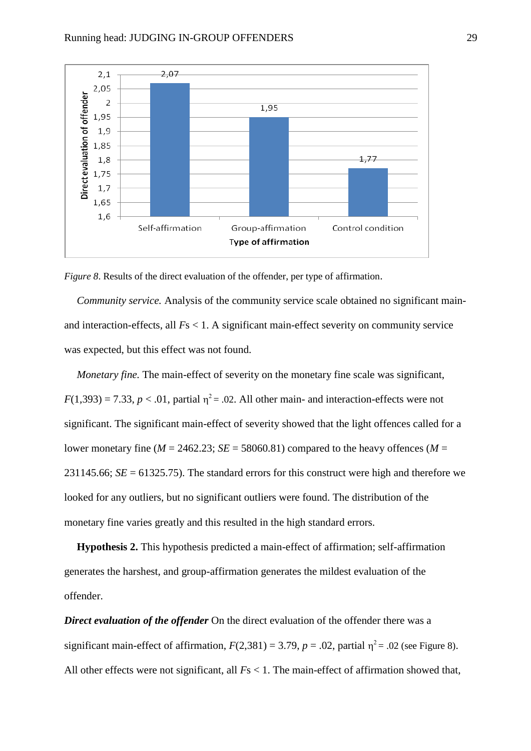

*Figure 8*. Results of the direct evaluation of the offender, per type of affirmation.

*Community service.* Analysis of the community service scale obtained no significant mainand interaction-effects, all *F*s < 1. A significant main-effect severity on community service was expected, but this effect was not found.

*Monetary fine.* The main-effect of severity on the monetary fine scale was significant,  $F(1,393) = 7.33, p < .01$ , partial  $\eta^2 = .02$ . All other main- and interaction-effects were not significant. The significant main-effect of severity showed that the light offences called for a lower monetary fine ( $M = 2462.23$ ;  $SE = 58060.81$ ) compared to the heavy offences ( $M =$ 231145.66; *SE* = 61325.75). The standard errors for this construct were high and therefore we looked for any outliers, but no significant outliers were found. The distribution of the monetary fine varies greatly and this resulted in the high standard errors.

**Hypothesis 2.** This hypothesis predicted a main-effect of affirmation; self-affirmation generates the harshest, and group-affirmation generates the mildest evaluation of the offender.

*Direct evaluation of the offender* On the direct evaluation of the offender there was a significant main-effect of affirmation,  $F(2,381) = 3.79$ ,  $p = .02$ , partial  $\eta^2 = .02$  (see Figure 8). All other effects were not significant, all  $Fs < 1$ . The main-effect of affirmation showed that,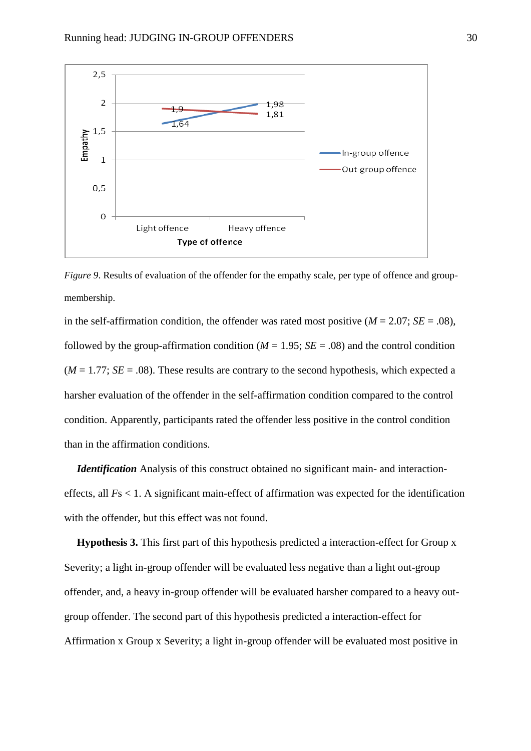

*Figure 9*. Results of evaluation of the offender for the empathy scale, per type of offence and groupmembership.

in the self-affirmation condition, the offender was rated most positive  $(M = 2.07; SE = .08)$ , followed by the group-affirmation condition ( $M = 1.95$ ;  $SE = .08$ ) and the control condition  $(M = 1.77; SE = .08)$ . These results are contrary to the second hypothesis, which expected a harsher evaluation of the offender in the self-affirmation condition compared to the control condition. Apparently, participants rated the offender less positive in the control condition than in the affirmation conditions.

*Identification* Analysis of this construct obtained no significant main- and interactioneffects, all *F*s < 1. A significant main-effect of affirmation was expected for the identification with the offender, but this effect was not found.

**Hypothesis 3.** This first part of this hypothesis predicted a interaction-effect for Group x Severity; a light in-group offender will be evaluated less negative than a light out-group offender, and, a heavy in-group offender will be evaluated harsher compared to a heavy outgroup offender. The second part of this hypothesis predicted a interaction-effect for Affirmation x Group x Severity; a light in-group offender will be evaluated most positive in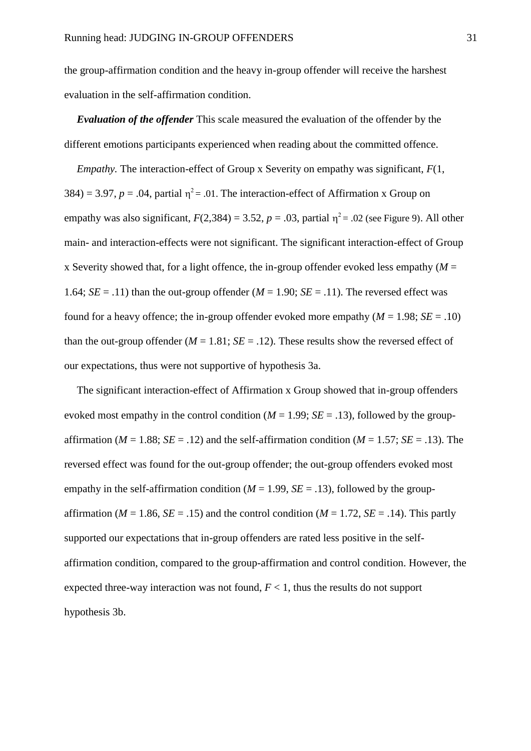the group-affirmation condition and the heavy in-group offender will receive the harshest evaluation in the self-affirmation condition.

*Evaluation of the offender* This scale measured the evaluation of the offender by the different emotions participants experienced when reading about the committed offence.

*Empathy.* The interaction-effect of Group x Severity on empathy was significant,  $F(1, 1)$ 384) = 3.97,  $p = 0.04$ , partial  $\eta^2 = 0.01$ . The interaction-effect of Affirmation x Group on empathy was also significant,  $F(2,384) = 3.52$ ,  $p = .03$ , partial  $\eta^2 = .02$  (see Figure 9). All other main- and interaction-effects were not significant. The significant interaction-effect of Group x Severity showed that, for a light offence, the in-group offender evoked less empathy  $(M =$ 1.64;  $SE = .11$ ) than the out-group offender  $(M = 1.90; SE = .11)$ . The reversed effect was found for a heavy offence; the in-group offender evoked more empathy  $(M = 1.98; SE = .10)$ than the out-group offender  $(M = 1.81; SE = .12)$ . These results show the reversed effect of our expectations, thus were not supportive of hypothesis 3a.

The significant interaction-effect of Affirmation x Group showed that in-group offenders evoked most empathy in the control condition  $(M = 1.99; SE = .13)$ , followed by the groupaffirmation ( $M = 1.88$ ;  $SE = .12$ ) and the self-affirmation condition ( $M = 1.57$ ;  $SE = .13$ ). The reversed effect was found for the out-group offender; the out-group offenders evoked most empathy in the self-affirmation condition ( $M = 1.99$ ,  $SE = .13$ ), followed by the groupaffirmation ( $M = 1.86$ ,  $SE = .15$ ) and the control condition ( $M = 1.72$ ,  $SE = .14$ ). This partly supported our expectations that in-group offenders are rated less positive in the selfaffirmation condition, compared to the group-affirmation and control condition. However, the expected three-way interaction was not found,  $F < 1$ , thus the results do not support hypothesis 3b.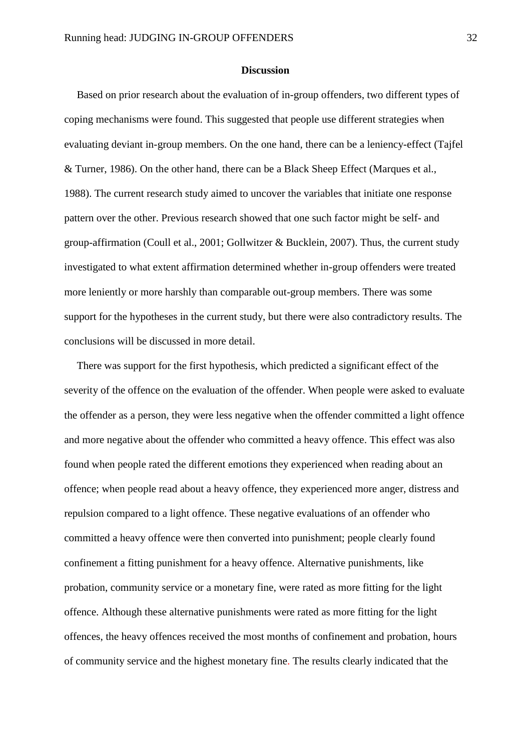#### **Discussion**

Based on prior research about the evaluation of in-group offenders, two different types of coping mechanisms were found. This suggested that people use different strategies when evaluating deviant in-group members. On the one hand, there can be a leniency-effect (Tajfel & Turner, 1986). On the other hand, there can be a Black Sheep Effect (Marques et al., 1988). The current research study aimed to uncover the variables that initiate one response pattern over the other. Previous research showed that one such factor might be self- and group-affirmation (Coull et al., 2001; Gollwitzer & Bucklein, 2007). Thus, the current study investigated to what extent affirmation determined whether in-group offenders were treated more leniently or more harshly than comparable out-group members. There was some support for the hypotheses in the current study, but there were also contradictory results. The conclusions will be discussed in more detail.

There was support for the first hypothesis, which predicted a significant effect of the severity of the offence on the evaluation of the offender. When people were asked to evaluate the offender as a person, they were less negative when the offender committed a light offence and more negative about the offender who committed a heavy offence. This effect was also found when people rated the different emotions they experienced when reading about an offence; when people read about a heavy offence, they experienced more anger, distress and repulsion compared to a light offence. These negative evaluations of an offender who committed a heavy offence were then converted into punishment; people clearly found confinement a fitting punishment for a heavy offence. Alternative punishments, like probation, community service or a monetary fine, were rated as more fitting for the light offence. Although these alternative punishments were rated as more fitting for the light offences, the heavy offences received the most months of confinement and probation, hours of community service and the highest monetary fine. The results clearly indicated that the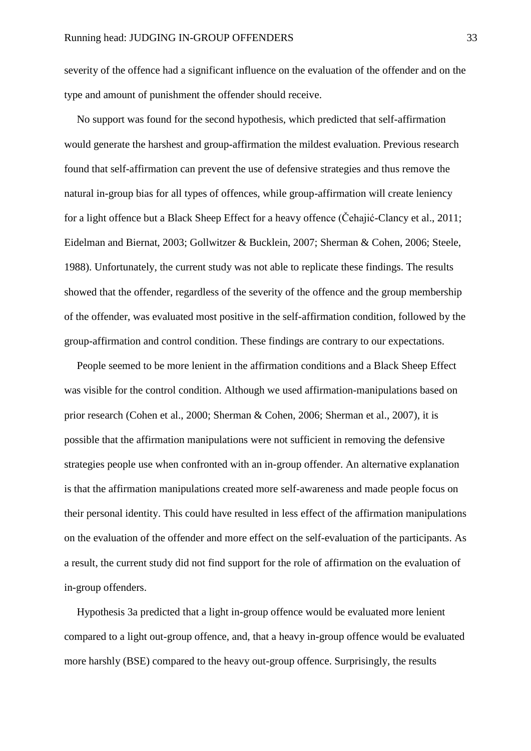severity of the offence had a significant influence on the evaluation of the offender and on the type and amount of punishment the offender should receive.

No support was found for the second hypothesis, which predicted that self-affirmation would generate the harshest and group-affirmation the mildest evaluation. Previous research found that self-affirmation can prevent the use of defensive strategies and thus remove the natural in-group bias for all types of offences, while group-affirmation will create leniency for a light offence but a Black Sheep Effect for a heavy offence (Čehajić-Clancy et al., 2011; Eidelman and Biernat, 2003; Gollwitzer & Bucklein, 2007; Sherman & Cohen, 2006; Steele, 1988). Unfortunately, the current study was not able to replicate these findings. The results showed that the offender, regardless of the severity of the offence and the group membership of the offender, was evaluated most positive in the self-affirmation condition, followed by the group-affirmation and control condition. These findings are contrary to our expectations.

People seemed to be more lenient in the affirmation conditions and a Black Sheep Effect was visible for the control condition. Although we used affirmation-manipulations based on prior research (Cohen et al., 2000; Sherman & Cohen, 2006; Sherman et al., 2007), it is possible that the affirmation manipulations were not sufficient in removing the defensive strategies people use when confronted with an in-group offender. An alternative explanation is that the affirmation manipulations created more self-awareness and made people focus on their personal identity. This could have resulted in less effect of the affirmation manipulations on the evaluation of the offender and more effect on the self-evaluation of the participants. As a result, the current study did not find support for the role of affirmation on the evaluation of in-group offenders.

Hypothesis 3a predicted that a light in-group offence would be evaluated more lenient compared to a light out-group offence, and, that a heavy in-group offence would be evaluated more harshly (BSE) compared to the heavy out-group offence. Surprisingly, the results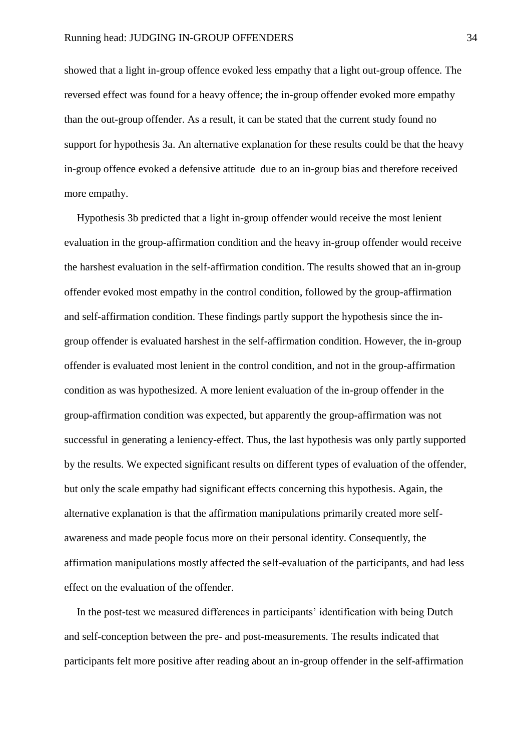showed that a light in-group offence evoked less empathy that a light out-group offence. The reversed effect was found for a heavy offence; the in-group offender evoked more empathy than the out-group offender. As a result, it can be stated that the current study found no support for hypothesis 3a. An alternative explanation for these results could be that the heavy in-group offence evoked a defensive attitude due to an in-group bias and therefore received more empathy.

Hypothesis 3b predicted that a light in-group offender would receive the most lenient evaluation in the group-affirmation condition and the heavy in-group offender would receive the harshest evaluation in the self-affirmation condition. The results showed that an in-group offender evoked most empathy in the control condition, followed by the group-affirmation and self-affirmation condition. These findings partly support the hypothesis since the ingroup offender is evaluated harshest in the self-affirmation condition. However, the in-group offender is evaluated most lenient in the control condition, and not in the group-affirmation condition as was hypothesized. A more lenient evaluation of the in-group offender in the group-affirmation condition was expected, but apparently the group-affirmation was not successful in generating a leniency-effect. Thus, the last hypothesis was only partly supported by the results. We expected significant results on different types of evaluation of the offender, but only the scale empathy had significant effects concerning this hypothesis. Again, the alternative explanation is that the affirmation manipulations primarily created more selfawareness and made people focus more on their personal identity. Consequently, the affirmation manipulations mostly affected the self-evaluation of the participants, and had less effect on the evaluation of the offender.

In the post-test we measured differences in participants' identification with being Dutch and self-conception between the pre- and post-measurements. The results indicated that participants felt more positive after reading about an in-group offender in the self-affirmation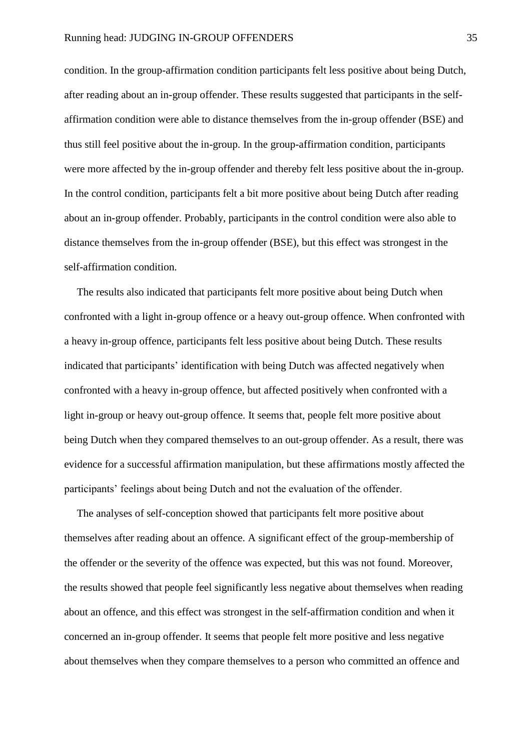condition. In the group-affirmation condition participants felt less positive about being Dutch, after reading about an in-group offender. These results suggested that participants in the selfaffirmation condition were able to distance themselves from the in-group offender (BSE) and thus still feel positive about the in-group. In the group-affirmation condition, participants were more affected by the in-group offender and thereby felt less positive about the in-group. In the control condition, participants felt a bit more positive about being Dutch after reading about an in-group offender. Probably, participants in the control condition were also able to distance themselves from the in-group offender (BSE), but this effect was strongest in the self-affirmation condition.

The results also indicated that participants felt more positive about being Dutch when confronted with a light in-group offence or a heavy out-group offence. When confronted with a heavy in-group offence, participants felt less positive about being Dutch. These results indicated that participants' identification with being Dutch was affected negatively when confronted with a heavy in-group offence, but affected positively when confronted with a light in-group or heavy out-group offence. It seems that, people felt more positive about being Dutch when they compared themselves to an out-group offender. As a result, there was evidence for a successful affirmation manipulation, but these affirmations mostly affected the participants' feelings about being Dutch and not the evaluation of the offender.

The analyses of self-conception showed that participants felt more positive about themselves after reading about an offence. A significant effect of the group-membership of the offender or the severity of the offence was expected, but this was not found. Moreover, the results showed that people feel significantly less negative about themselves when reading about an offence, and this effect was strongest in the self-affirmation condition and when it concerned an in-group offender. It seems that people felt more positive and less negative about themselves when they compare themselves to a person who committed an offence and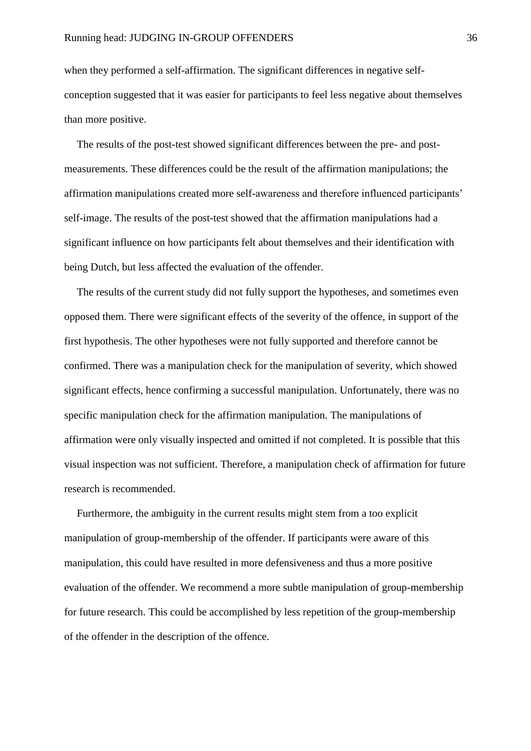when they performed a self-affirmation. The significant differences in negative selfconception suggested that it was easier for participants to feel less negative about themselves than more positive.

The results of the post-test showed significant differences between the pre- and postmeasurements. These differences could be the result of the affirmation manipulations; the affirmation manipulations created more self-awareness and therefore influenced participants' self-image. The results of the post-test showed that the affirmation manipulations had a significant influence on how participants felt about themselves and their identification with being Dutch, but less affected the evaluation of the offender.

The results of the current study did not fully support the hypotheses, and sometimes even opposed them. There were significant effects of the severity of the offence, in support of the first hypothesis. The other hypotheses were not fully supported and therefore cannot be confirmed. There was a manipulation check for the manipulation of severity, which showed significant effects, hence confirming a successful manipulation. Unfortunately, there was no specific manipulation check for the affirmation manipulation. The manipulations of affirmation were only visually inspected and omitted if not completed. It is possible that this visual inspection was not sufficient. Therefore, a manipulation check of affirmation for future research is recommended.

Furthermore, the ambiguity in the current results might stem from a too explicit manipulation of group-membership of the offender. If participants were aware of this manipulation, this could have resulted in more defensiveness and thus a more positive evaluation of the offender. We recommend a more subtle manipulation of group-membership for future research. This could be accomplished by less repetition of the group-membership of the offender in the description of the offence.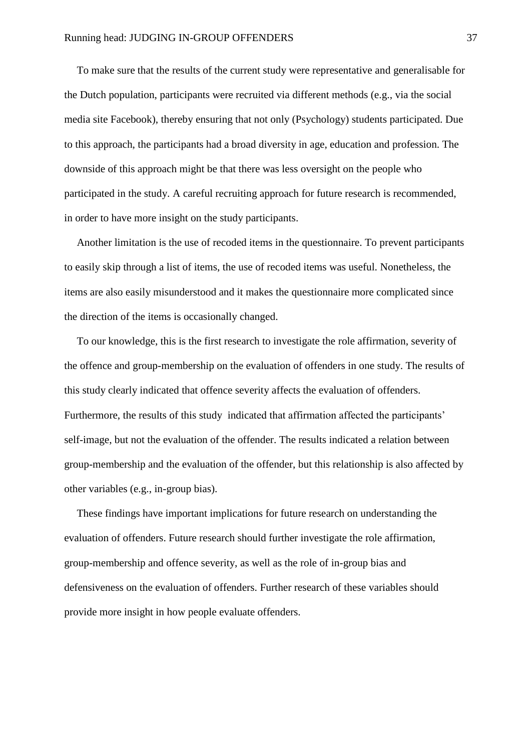To make sure that the results of the current study were representative and generalisable for the Dutch population, participants were recruited via different methods (e.g., via the social media site Facebook), thereby ensuring that not only (Psychology) students participated. Due to this approach, the participants had a broad diversity in age, education and profession. The downside of this approach might be that there was less oversight on the people who participated in the study. A careful recruiting approach for future research is recommended, in order to have more insight on the study participants.

Another limitation is the use of recoded items in the questionnaire. To prevent participants to easily skip through a list of items, the use of recoded items was useful. Nonetheless, the items are also easily misunderstood and it makes the questionnaire more complicated since the direction of the items is occasionally changed.

To our knowledge, this is the first research to investigate the role affirmation, severity of the offence and group-membership on the evaluation of offenders in one study. The results of this study clearly indicated that offence severity affects the evaluation of offenders. Furthermore, the results of this study indicated that affirmation affected the participants' self-image, but not the evaluation of the offender. The results indicated a relation between group-membership and the evaluation of the offender, but this relationship is also affected by other variables (e.g., in-group bias).

These findings have important implications for future research on understanding the evaluation of offenders. Future research should further investigate the role affirmation, group-membership and offence severity, as well as the role of in-group bias and defensiveness on the evaluation of offenders. Further research of these variables should provide more insight in how people evaluate offenders.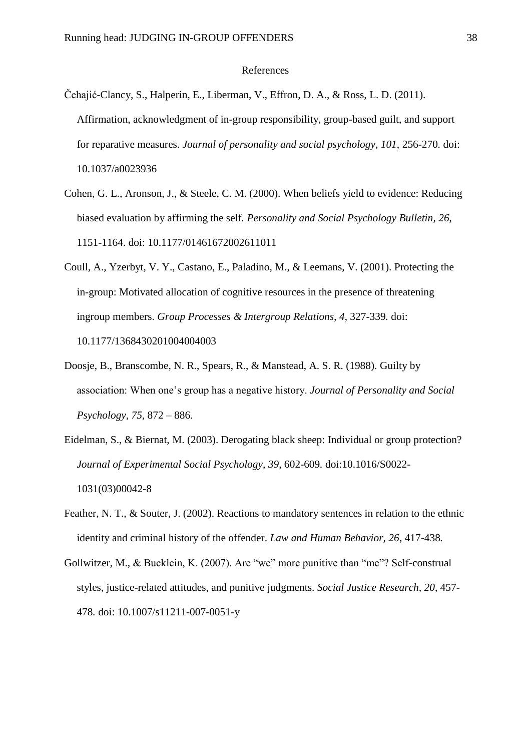#### References

- Čehajić-Clancy, S., Halperin, E., Liberman, V., Effron, D. A., & Ross, L. D. (2011). Affirmation, acknowledgment of in-group responsibility, group-based guilt, and support for reparative measures. *Journal of personality and social psychology, 101*, 256-270*.* doi: 10.1037/a0023936
- Cohen, G. L., Aronson, J., & Steele, C. M. (2000). When beliefs yield to evidence: Reducing biased evaluation by affirming the self*. Personality and Social Psychology Bulletin, 26*, 1151-1164. doi: 10.1177/01461672002611011
- Coull, A., Yzerbyt, V. Y., Castano, E., Paladino, M., & Leemans, V. (2001). Protecting the in-group: Motivated allocation of cognitive resources in the presence of threatening ingroup members. *Group Processes & Intergroup Relations, 4*, 327-339*.* doi: 10.1177/1368430201004004003
- Doosje, B., Branscombe, N. R., Spears, R., & Manstead, A. S. R. (1988). Guilty by association: When one's group has a negative history. *Journal of Personality and Social Psychology*, *75*, 872 – 886.
- Eidelman, S., & Biernat, M. (2003). Derogating black sheep: Individual or group protection? *Journal of Experimental Social Psychology, 39*, 602-609*.* doi:10.1016/S0022- 1031(03)00042-8
- Feather, N. T., & Souter, J. (2002). Reactions to mandatory sentences in relation to the ethnic identity and criminal history of the offender. *Law and Human Behavior, 26*, 417-438*.*
- Gollwitzer, M., & Bucklein, K. (2007). Are "we" more punitive than "me"? Self-construal styles, justice-related attitudes, and punitive judgments. *Social Justice Research, 20*, 457- 478*.* doi: 10.1007/s11211-007-0051-y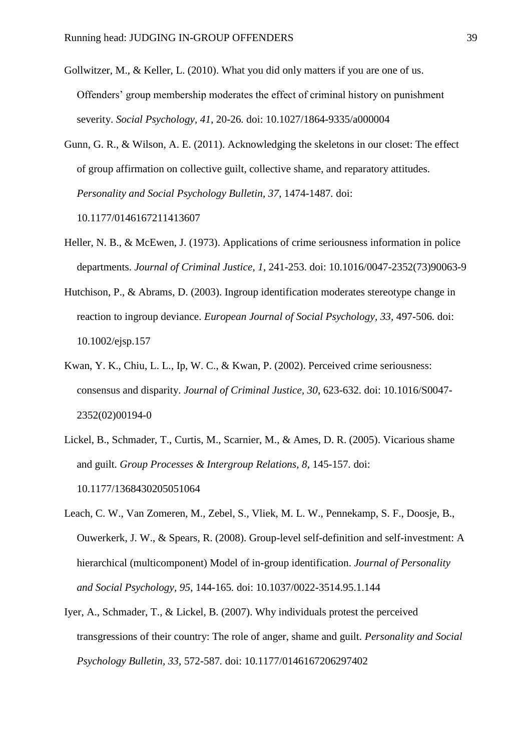- Gollwitzer, M., & Keller, L. (2010). What you did only matters if you are one of us. Offenders' group membership moderates the effect of criminal history on punishment severity. *Social Psychology, 41*, 20-26*.* doi: 10.1027/1864-9335/a000004
- Gunn, G. R., & Wilson, A. E. (2011). Acknowledging the skeletons in our closet: The effect of group affirmation on collective guilt, collective shame, and reparatory attitudes. *Personality and Social Psychology Bulletin, 37*, 1474-1487*.* doi: 10.1177/0146167211413607
- Heller, N. B., & McEwen, J. (1973). Applications of crime seriousness information in police departments. *Journal of Criminal Justice*, *1*, 241-253. doi: 10.1016/0047-2352(73)90063-9
- Hutchison, P., & Abrams, D. (2003). Ingroup identification moderates stereotype change in reaction to ingroup deviance. *European Journal of Social Psychology, 33,* 497-506*.* doi: 10.1002/ejsp.157
- Kwan, Y. K., Chiu, L. L., Ip, W. C., & Kwan, P. (2002). Perceived crime seriousness: consensus and disparity. *Journal of Criminal Justice*, *30*, 623-632. doi: 10.1016/S0047- 2352(02)00194-0
- Lickel, B., Schmader, T., Curtis, M., Scarnier, M., & Ames, D. R. (2005). Vicarious shame and guilt. *Group Processes & Intergroup Relations, 8*, 145-157*.* doi: 10.1177/1368430205051064
- Leach, C. W., Van Zomeren, M., Zebel, S., Vliek, M. L. W., Pennekamp, S. F., Doosje, B., Ouwerkerk, J. W., & Spears, R. (2008). Group-level self-definition and self-investment: A hierarchical (multicomponent) Model of in-group identification. *Journal of Personality and Social Psychology, 95*, 144-165*.* doi: 10.1037/0022-3514.95.1.144
- Iyer, A., Schmader, T., & Lickel, B. (2007). Why individuals protest the perceived transgressions of their country: The role of anger, shame and guilt. *Personality and Social Psychology Bulletin, 33*, 572-587*.* doi: 10.1177/0146167206297402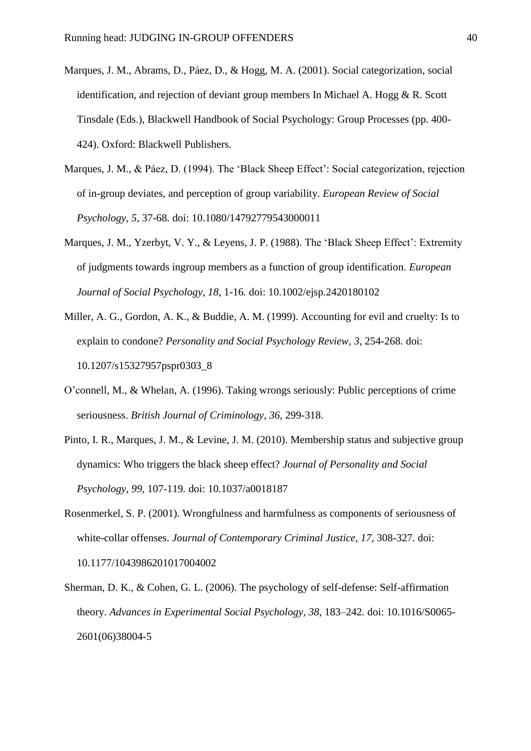- Marques, J. M., Abrams, D., Páez, D., & Hogg, M. A. (2001). Social categorization, social identification, and rejection of deviant group members In Michael A. Hogg & R. Scott Tinsdale (Eds.), Blackwell Handbook of Social Psychology: Group Processes (pp. 400- 424). Oxford: Blackwell Publishers.
- Marques, J. M., & Páez, D. (1994). The 'Black Sheep Effect': Social categorization, rejection of in-group deviates, and perception of group variability. *European Review of Social Psychology, 5*, 37-68*.* doi: 10.1080/14792779543000011
- Marques, J. M., Yzerbyt, V. Y., & Leyens, J. P. (1988). The 'Black Sheep Effect': Extremity of judgments towards ingroup members as a function of group identification. *European Journal of Social Psychology, 18*, 1-16*.* doi: 10.1002/ejsp.2420180102
- Miller, A. G., Gordon, A. K., & Buddie, A. M. (1999). Accounting for evil and cruelty: Is to explain to condone? *Personality and Social Psychology Review, 3*, 254-268*.* doi: 10.1207/s15327957pspr0303\_8
- O'connell, M., & Whelan, A. (1996). Taking wrongs seriously: Public perceptions of crime seriousness. *British Journal of Criminology*, *36*, 299-318.
- Pinto, I. R., Marques, J. M., & Levine, J. M. (2010). Membership status and subjective group dynamics: Who triggers the black sheep effect? *Journal of Personality and Social Psychology, 99*, 107-119*.* doi: 10.1037/a0018187
- Rosenmerkel, S. P. (2001). Wrongfulness and harmfulness as components of seriousness of white-collar offenses. *Journal of Contemporary Criminal Justice*, *17*, 308-327. doi: 10.1177/1043986201017004002
- Sherman, D. K., & Cohen, G. L. (2006). The psychology of self-defense: Self-affirmation theory. *Advances in Experimental Social Psychology, 38*, 183–242*.* doi: 10.1016/S0065- 2601(06)38004-5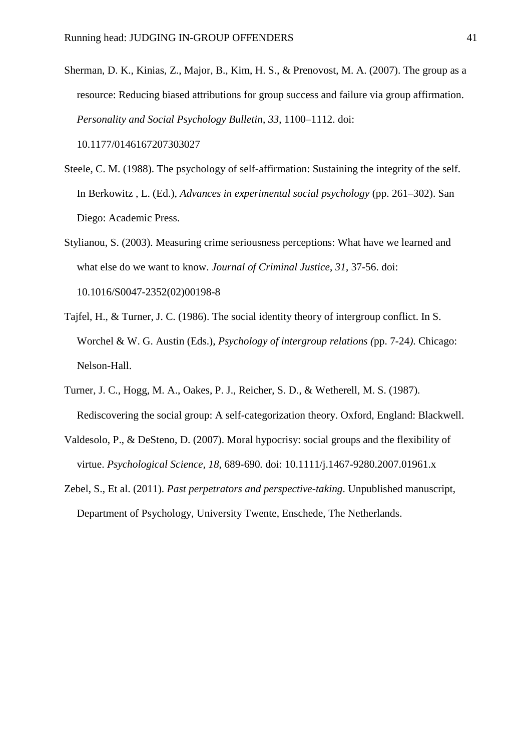- Sherman, D. K., Kinias, Z., Major, B., Kim, H. S., & Prenovost, M. A. (2007). The group as a resource: Reducing biased attributions for group success and failure via group affirmation. *Personality and Social Psychology Bulletin*, *33*, 1100–1112. doi: 10.1177/0146167207303027
- Steele, C. M. (1988). The psychology of self-affirmation: Sustaining the integrity of the self. In Berkowitz , L. (Ed.), *Advances in experimental social psychology* (pp. 261–302). San Diego: Academic Press.
- Stylianou, S. (2003). Measuring crime seriousness perceptions: What have we learned and what else do we want to know. *Journal of Criminal Justice*, *31*, 37-56. doi: 10.1016/S0047-2352(02)00198-8
- Tajfel, H., & Turner, J. C. (1986). The social identity theory of intergroup conflict. In S. Worchel & W. G. Austin (Eds.), *Psychology of intergroup relations (*pp. 7-24*)*. Chicago: Nelson-Hall.
- Turner, J. C., Hogg, M. A., Oakes, P. J., Reicher, S. D., & Wetherell, M. S. (1987). Rediscovering the social group: A self-categorization theory. Oxford, England: Blackwell.
- Valdesolo, P., & DeSteno, D. (2007). Moral hypocrisy: social groups and the flexibility of virtue. *Psychological Science, 18*, 689-690*.* doi: 10.1111/j.1467-9280.2007.01961.x
- Zebel, S., Et al. (2011). *Past perpetrators and perspective-taking*. Unpublished manuscript, Department of Psychology, University Twente, Enschede, The Netherlands.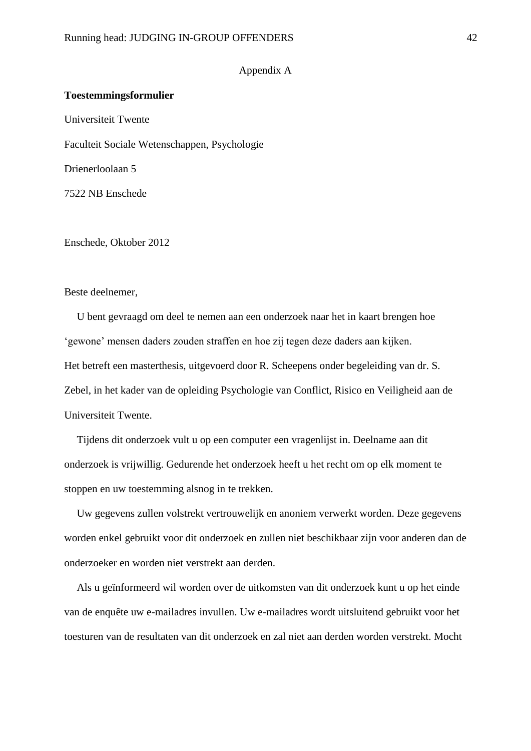#### Appendix A

#### **Toestemmingsformulier**

Universiteit Twente

Faculteit Sociale Wetenschappen, Psychologie

Drienerloolaan 5

7522 NB Enschede

Enschede, Oktober 2012

#### Beste deelnemer,

U bent gevraagd om deel te nemen aan een onderzoek naar het in kaart brengen hoe 'gewone' mensen daders zouden straffen en hoe zij tegen deze daders aan kijken. Het betreft een masterthesis, uitgevoerd door R. Scheepens onder begeleiding van dr. S. Zebel, in het kader van de opleiding Psychologie van Conflict, Risico en Veiligheid aan de Universiteit Twente.

Tijdens dit onderzoek vult u op een computer een vragenlijst in. Deelname aan dit onderzoek is vrijwillig. Gedurende het onderzoek heeft u het recht om op elk moment te stoppen en uw toestemming alsnog in te trekken.

Uw gegevens zullen volstrekt vertrouwelijk en anoniem verwerkt worden. Deze gegevens worden enkel gebruikt voor dit onderzoek en zullen niet beschikbaar zijn voor anderen dan de onderzoeker en worden niet verstrekt aan derden.

Als u geïnformeerd wil worden over de uitkomsten van dit onderzoek kunt u op het einde van de enquête uw e-mailadres invullen. Uw e-mailadres wordt uitsluitend gebruikt voor het toesturen van de resultaten van dit onderzoek en zal niet aan derden worden verstrekt. Mocht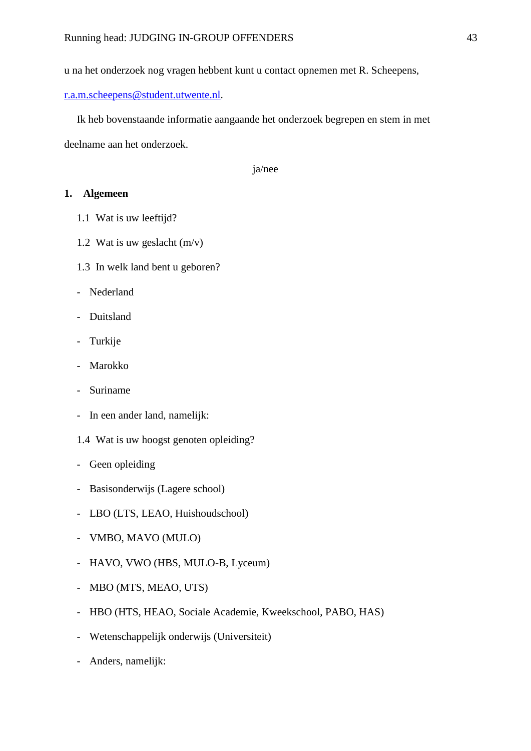u na het onderzoek nog vragen hebbent kunt u contact opnemen met R. Scheepens,

[r.a.m.scheepens@student.utwente.nl.](mailto:r.a.m.scheepens@student.utwente.nl)

Ik heb bovenstaande informatie aangaande het onderzoek begrepen en stem in met deelname aan het onderzoek.

ja/nee

## **1. Algemeen**

- 1.1 Wat is uw leeftijd?
- 1.2 Wat is uw geslacht (m/v)
- 1.3 In welk land bent u geboren?
- Nederland
- Duitsland
- Turkije
- **Marokko**
- Suriname
- In een ander land, namelijk:
- 1.4 Wat is uw hoogst genoten opleiding?
- Geen opleiding
- Basisonderwijs (Lagere school)
- LBO (LTS, LEAO, Huishoudschool)
- VMBO, MAVO (MULO)
- HAVO, VWO (HBS, MULO-B, Lyceum)
- MBO (MTS, MEAO, UTS)
- HBO (HTS, HEAO, Sociale Academie, Kweekschool, PABO, HAS)
- Wetenschappelijk onderwijs (Universiteit)
- Anders, namelijk: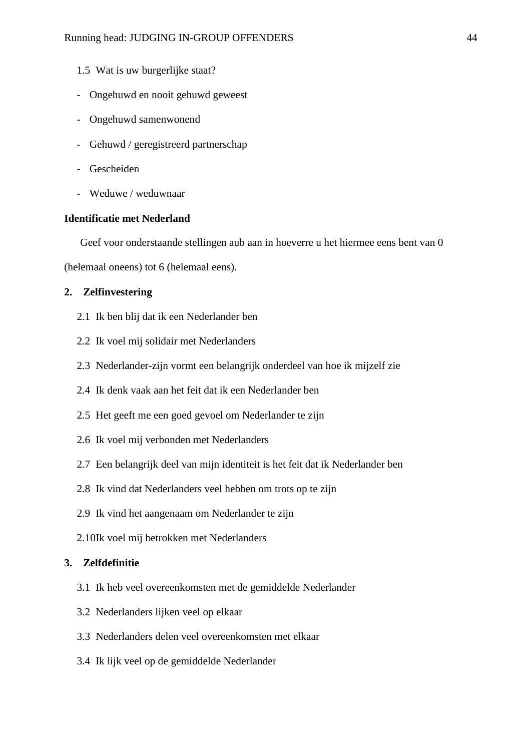- 1.5 Wat is uw burgerlijke staat?
- Ongehuwd en nooit gehuwd geweest
- Ongehuwd samenwonend
- Gehuwd / geregistreerd partnerschap
- Gescheiden
- Weduwe / weduwnaar

## **Identificatie met Nederland**

Geef voor onderstaande stellingen aub aan in hoeverre u het hiermee eens bent van 0

(helemaal oneens) tot 6 (helemaal eens).

## **2. Zelfinvestering**

- 2.1 Ik ben blij dat ik een Nederlander ben
- 2.2 Ik voel mij solidair met Nederlanders
- 2.3 Nederlander-zijn vormt een belangrijk onderdeel van hoe ik mijzelf zie
- 2.4 Ik denk vaak aan het feit dat ik een Nederlander ben
- 2.5 Het geeft me een goed gevoel om Nederlander te zijn
- 2.6 Ik voel mij verbonden met Nederlanders
- 2.7 Een belangrijk deel van mijn identiteit is het feit dat ik Nederlander ben
- 2.8 Ik vind dat Nederlanders veel hebben om trots op te zijn
- 2.9 Ik vind het aangenaam om Nederlander te zijn
- 2.10Ik voel mij betrokken met Nederlanders

## **3. Zelfdefinitie**

- 3.1 Ik heb veel overeenkomsten met de gemiddelde Nederlander
- 3.2 Nederlanders lijken veel op elkaar
- 3.3 Nederlanders delen veel overeenkomsten met elkaar
- 3.4 Ik lijk veel op de gemiddelde Nederlander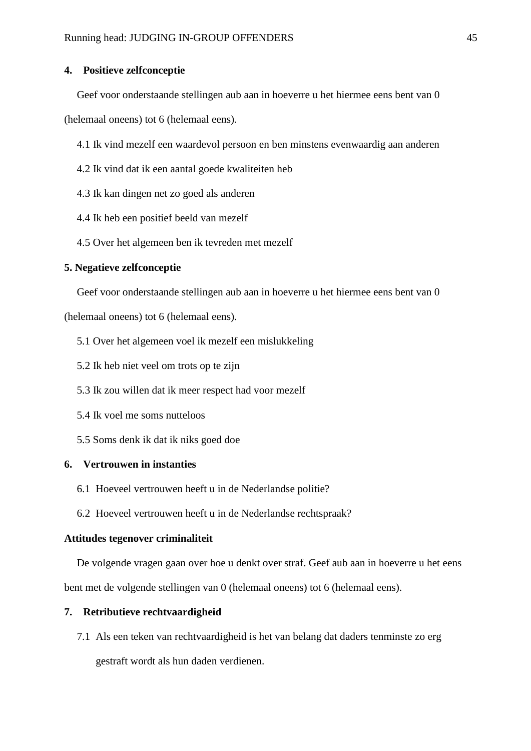#### **4. Positieve zelfconceptie**

Geef voor onderstaande stellingen aub aan in hoeverre u het hiermee eens bent van 0

(helemaal oneens) tot 6 (helemaal eens).

- 4.1 Ik vind mezelf een waardevol persoon en ben minstens evenwaardig aan anderen
- 4.2 Ik vind dat ik een aantal goede kwaliteiten heb
- 4.3 Ik kan dingen net zo goed als anderen
- 4.4 Ik heb een positief beeld van mezelf
- 4.5 Over het algemeen ben ik tevreden met mezelf

#### **5. Negatieve zelfconceptie**

Geef voor onderstaande stellingen aub aan in hoeverre u het hiermee eens bent van 0

(helemaal oneens) tot 6 (helemaal eens).

- 5.1 Over het algemeen voel ik mezelf een mislukkeling
- 5.2 Ik heb niet veel om trots op te zijn
- 5.3 Ik zou willen dat ik meer respect had voor mezelf
- 5.4 Ik voel me soms nutteloos
- 5.5 Soms denk ik dat ik niks goed doe

## **6. Vertrouwen in instanties**

- 6.1 Hoeveel vertrouwen heeft u in de Nederlandse politie?
- 6.2 Hoeveel vertrouwen heeft u in de Nederlandse rechtspraak?

#### **Attitudes tegenover criminaliteit**

De volgende vragen gaan over hoe u denkt over straf. Geef aub aan in hoeverre u het eens

bent met de volgende stellingen van 0 (helemaal oneens) tot 6 (helemaal eens).

## **7. Retributieve rechtvaardigheid**

7.1 Als een teken van rechtvaardigheid is het van belang dat daders tenminste zo erg gestraft wordt als hun daden verdienen.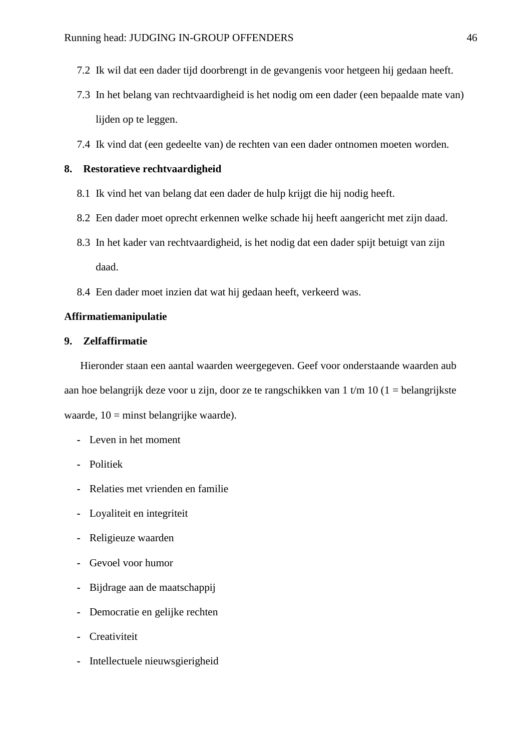- 7.2 Ik wil dat een dader tijd doorbrengt in de gevangenis voor hetgeen hij gedaan heeft.
- 7.3 In het belang van rechtvaardigheid is het nodig om een dader (een bepaalde mate van) lijden op te leggen.
- 7.4 Ik vind dat (een gedeelte van) de rechten van een dader ontnomen moeten worden.

## **8. Restoratieve rechtvaardigheid**

- 8.1 Ik vind het van belang dat een dader de hulp krijgt die hij nodig heeft.
- 8.2 Een dader moet oprecht erkennen welke schade hij heeft aangericht met zijn daad.
- 8.3 In het kader van rechtvaardigheid, is het nodig dat een dader spijt betuigt van zijn daad.
- 8.4 Een dader moet inzien dat wat hij gedaan heeft, verkeerd was.

## **Affirmatiemanipulatie**

## **9. Zelfaffirmatie**

Hieronder staan een aantal waarden weergegeven. Geef voor onderstaande waarden aub aan hoe belangrijk deze voor u zijn, door ze te rangschikken van 1 t/m 10 (1 = belangrijkste waarde, 10 = minst belangrijke waarde).

- **-** Leven in het moment
- **-** Politiek
- **-** Relaties met vrienden en familie
- **-** Loyaliteit en integriteit
- **-** Religieuze waarden
- **-** Gevoel voor humor
- **-** Bijdrage aan de maatschappij
- **-** Democratie en gelijke rechten
- **-** Creativiteit
- **-** Intellectuele nieuwsgierigheid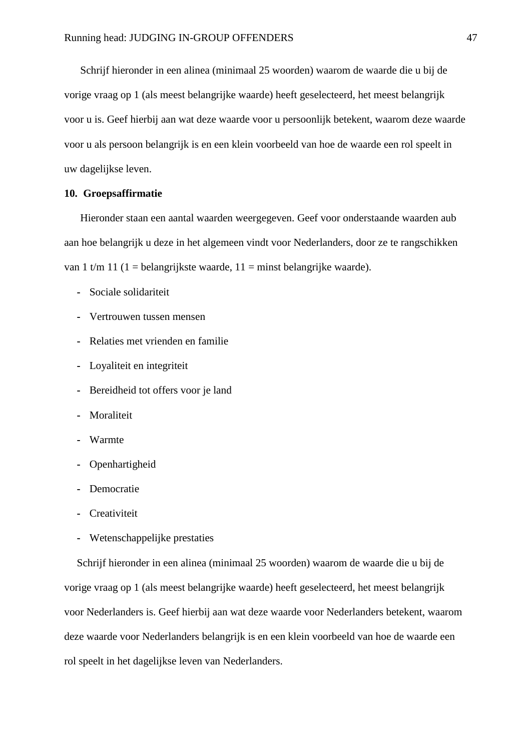Schrijf hieronder in een alinea (minimaal 25 woorden) waarom de waarde die u bij de vorige vraag op 1 (als meest belangrijke waarde) heeft geselecteerd, het meest belangrijk voor u is. Geef hierbij aan wat deze waarde voor u persoonlijk betekent, waarom deze waarde voor u als persoon belangrijk is en een klein voorbeeld van hoe de waarde een rol speelt in uw dagelijkse leven.

## **10. Groepsaffirmatie**

Hieronder staan een aantal waarden weergegeven. Geef voor onderstaande waarden aub aan hoe belangrijk u deze in het algemeen vindt voor Nederlanders, door ze te rangschikken van 1 t/m 11 (1 = belangrijkste waarde, 11 = minst belangrijke waarde).

- **-** Sociale solidariteit
- **-** Vertrouwen tussen mensen
- **-** Relaties met vrienden en familie
- **-** Loyaliteit en integriteit
- **-** Bereidheid tot offers voor je land
- **-** Moraliteit
- **-** Warmte
- **-** Openhartigheid
- **-** Democratie
- **-** Creativiteit
- **-** Wetenschappelijke prestaties

Schrijf hieronder in een alinea (minimaal 25 woorden) waarom de waarde die u bij de vorige vraag op 1 (als meest belangrijke waarde) heeft geselecteerd, het meest belangrijk voor Nederlanders is. Geef hierbij aan wat deze waarde voor Nederlanders betekent, waarom deze waarde voor Nederlanders belangrijk is en een klein voorbeeld van hoe de waarde een rol speelt in het dagelijkse leven van Nederlanders.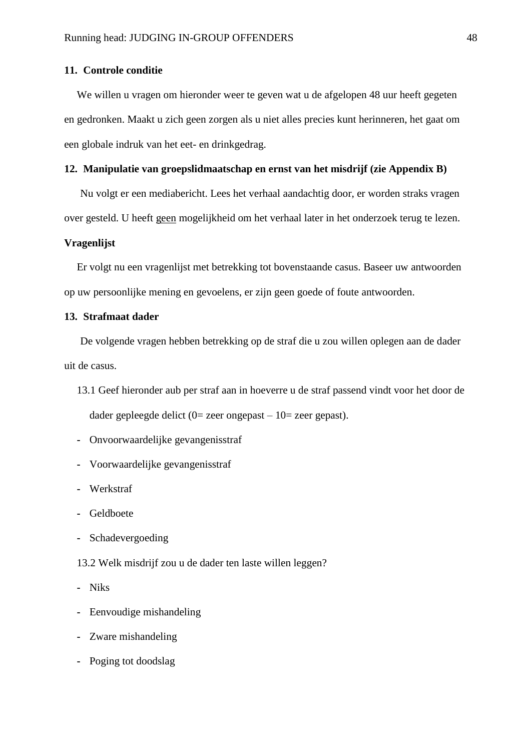#### **11. Controle conditie**

We willen u vragen om hieronder weer te geven wat u de afgelopen 48 uur heeft gegeten en gedronken. Maakt u zich geen zorgen als u niet alles precies kunt herinneren, het gaat om een globale indruk van het eet- en drinkgedrag.

## **12. Manipulatie van groepslidmaatschap en ernst van het misdrijf (zie Appendix B)**

Nu volgt er een mediabericht. Lees het verhaal aandachtig door, er worden straks vragen over gesteld. U heeft geen mogelijkheid om het verhaal later in het onderzoek terug te lezen.

#### **Vragenlijst**

Er volgt nu een vragenlijst met betrekking tot bovenstaande casus. Baseer uw antwoorden op uw persoonlijke mening en gevoelens, er zijn geen goede of foute antwoorden.

## **13. Strafmaat dader**

De volgende vragen hebben betrekking op de straf die u zou willen oplegen aan de dader uit de casus.

- 13.1 Geef hieronder aub per straf aan in hoeverre u de straf passend vindt voor het door de dader gepleegde delict  $(0=$  zeer ongepast – 10= zeer gepast).
- **-** Onvoorwaardelijke gevangenisstraf
- **-** Voorwaardelijke gevangenisstraf
- **-** Werkstraf
- **-** Geldboete
- **-** Schadevergoeding
- 13.2 Welk misdrijf zou u de dader ten laste willen leggen?
- **-** Niks
- **-** Eenvoudige mishandeling
- **-** Zware mishandeling
- **-** Poging tot doodslag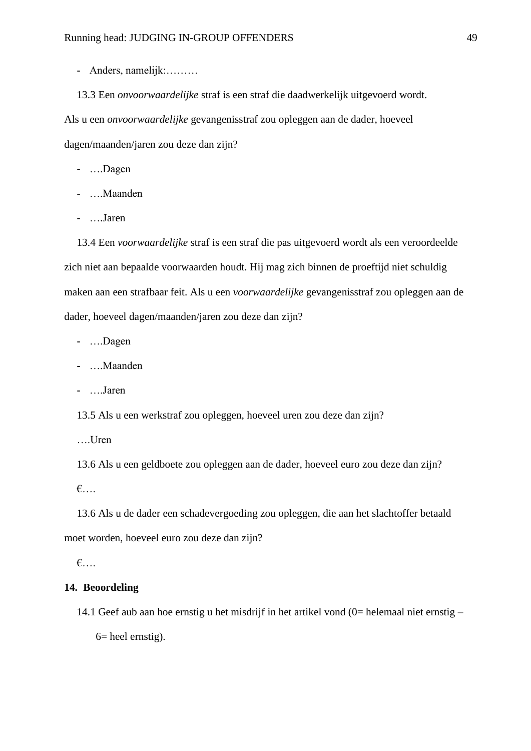- **-** Anders, namelijk:………
- 13.3 Een *onvoorwaardelijke* straf is een straf die daadwerkelijk uitgevoerd wordt.

Als u een *onvoorwaardelijke* gevangenisstraf zou opleggen aan de dader, hoeveel dagen/maanden/jaren zou deze dan zijn?

- **-** ….Dagen
- **-** ….Maanden
- **-** ….Jaren

13.4 Een *voorwaardelijke* straf is een straf die pas uitgevoerd wordt als een veroordeelde zich niet aan bepaalde voorwaarden houdt. Hij mag zich binnen de proeftijd niet schuldig maken aan een strafbaar feit. Als u een *voorwaardelijke* gevangenisstraf zou opleggen aan de dader, hoeveel dagen/maanden/jaren zou deze dan zijn?

- **-** ….Dagen
- **-** ….Maanden
- **-** ….Jaren

13.5 Als u een werkstraf zou opleggen, hoeveel uren zou deze dan zijn?

….Uren

13.6 Als u een geldboete zou opleggen aan de dader, hoeveel euro zou deze dan zijn? €….

13.6 Als u de dader een schadevergoeding zou opleggen, die aan het slachtoffer betaald moet worden, hoeveel euro zou deze dan zijn?

€….

## **14. Beoordeling**

14.1 Geef aub aan hoe ernstig u het misdrijf in het artikel vond (0= helemaal niet ernstig –  $6$ = heel ernstig).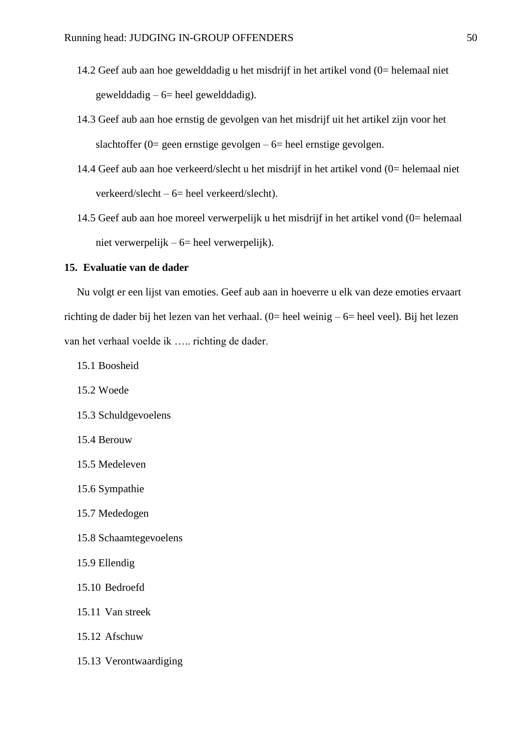- 14.2 Geef aub aan hoe gewelddadig u het misdrijf in het artikel vond (0= helemaal niet gewelddadig –  $6$  heel gewelddadig).
- 14.3 Geef aub aan hoe ernstig de gevolgen van het misdrijf uit het artikel zijn voor het slachtoffer (0= geen ernstige gevolgen –  $6$ = heel ernstige gevolgen.
- 14.4 Geef aub aan hoe verkeerd/slecht u het misdrijf in het artikel vond (0= helemaal niet verkeerd/slecht – 6= heel verkeerd/slecht).
- 14.5 Geef aub aan hoe moreel verwerpelijk u het misdrijf in het artikel vond (0= helemaal niet verwerpelijk – 6= heel verwerpelijk).

#### **15. Evaluatie van de dader**

Nu volgt er een lijst van emoties. Geef aub aan in hoeverre u elk van deze emoties ervaart richting de dader bij het lezen van het verhaal. (0= heel weinig – 6= heel veel). Bij het lezen van het verhaal voelde ik ….. richting de dader.

- 15.1 Boosheid
- 15.2 Woede
- 15.3 Schuldgevoelens
- 15.4 Berouw
- 15.5 Medeleven
- 15.6 Sympathie
- 15.7 Mededogen
- 15.8 Schaamtegevoelens
- 15.9 Ellendig
- 15.10 Bedroefd
- 15.11 Van streek
- 15.12 Afschuw
- 15.13 Verontwaardiging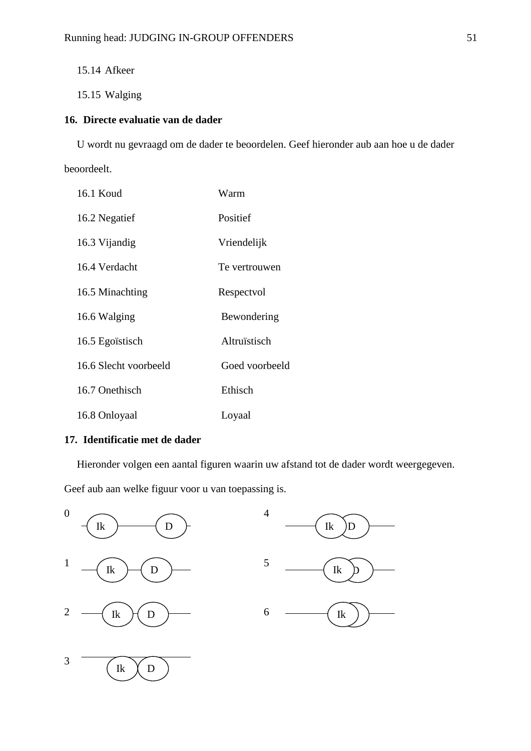15.14 Afkeer

15.15 Walging

## **16. Directe evaluatie van de dader**

U wordt nu gevraagd om de dader te beoordelen. Geef hieronder aub aan hoe u de dader beoordeelt.

| 16.1 Koud             | Warm           |
|-----------------------|----------------|
| 16.2 Negatief         | Positief       |
| 16.3 Vijandig         | Vriendelijk    |
| 16.4 Verdacht         | Te vertrouwen  |
| 16.5 Minachting       | Respectvol     |
| 16.6 Walging          | Bewondering    |
| 16.5 Egoïstisch       | Altruïstisch   |
| 16.6 Slecht voorbeeld | Goed voorbeeld |
| 16.7 Onethisch        | Ethisch        |
| 16.8 Onloyaal         | Loyaal         |

## **17. Identificatie met de dader**

Hieronder volgen een aantal figuren waarin uw afstand tot de dader wordt weergegeven.

Geef aub aan welke figuur voor u van toepassing is.

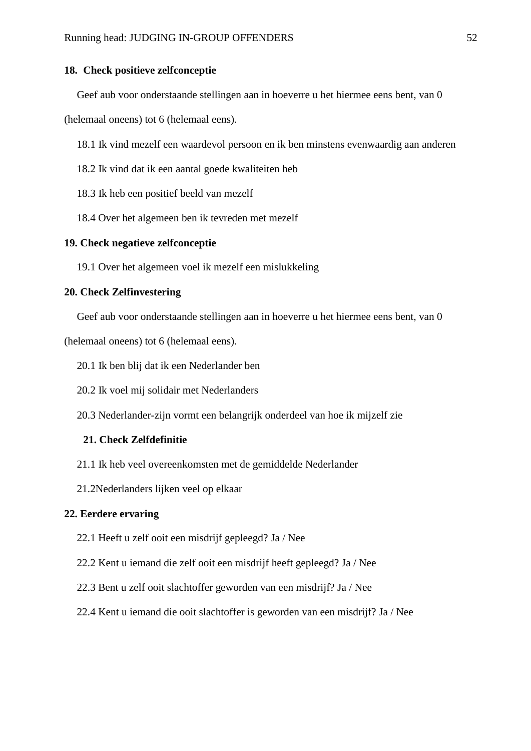#### **18. Check positieve zelfconceptie**

Geef aub voor onderstaande stellingen aan in hoeverre u het hiermee eens bent, van 0

(helemaal oneens) tot 6 (helemaal eens).

18.1 Ik vind mezelf een waardevol persoon en ik ben minstens evenwaardig aan anderen

- 18.2 Ik vind dat ik een aantal goede kwaliteiten heb
- 18.3 Ik heb een positief beeld van mezelf
- 18.4 Over het algemeen ben ik tevreden met mezelf

## **19. Check negatieve zelfconceptie**

19.1 Over het algemeen voel ik mezelf een mislukkeling

## **20. Check Zelfinvestering**

Geef aub voor onderstaande stellingen aan in hoeverre u het hiermee eens bent, van 0

(helemaal oneens) tot 6 (helemaal eens).

- 20.1 Ik ben blij dat ik een Nederlander ben
- 20.2 Ik voel mij solidair met Nederlanders
- 20.3 Nederlander-zijn vormt een belangrijk onderdeel van hoe ik mijzelf zie

## **21. Check Zelfdefinitie**

- 21.1 Ik heb veel overeenkomsten met de gemiddelde Nederlander
- 21.2Nederlanders lijken veel op elkaar

## **22. Eerdere ervaring**

- 22.1 Heeft u zelf ooit een misdrijf gepleegd? Ja / Nee
- 22.2 Kent u iemand die zelf ooit een misdrijf heeft gepleegd? Ja / Nee
- 22.3 Bent u zelf ooit slachtoffer geworden van een misdrijf? Ja / Nee
- 22.4 Kent u iemand die ooit slachtoffer is geworden van een misdrijf? Ja / Nee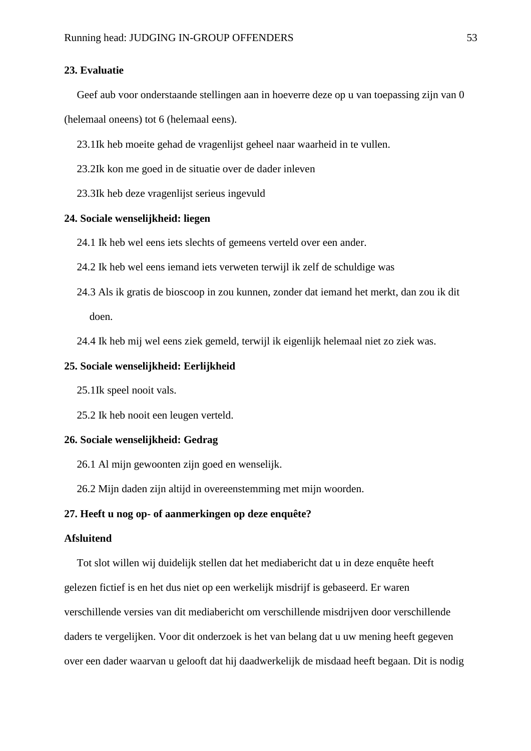## **23. Evaluatie**

Geef aub voor onderstaande stellingen aan in hoeverre deze op u van toepassing zijn van 0

(helemaal oneens) tot 6 (helemaal eens).

23.1Ik heb moeite gehad de vragenlijst geheel naar waarheid in te vullen.

23.2Ik kon me goed in de situatie over de dader inleven

23.3Ik heb deze vragenlijst serieus ingevuld

## **24. Sociale wenselijkheid: liegen**

24.1 Ik heb wel eens iets slechts of gemeens verteld over een ander.

- 24.2 Ik heb wel eens iemand iets verweten terwijl ik zelf de schuldige was
- 24.3 Als ik gratis de bioscoop in zou kunnen, zonder dat iemand het merkt, dan zou ik dit doen.

24.4 Ik heb mij wel eens ziek gemeld, terwijl ik eigenlijk helemaal niet zo ziek was.

## **25. Sociale wenselijkheid: Eerlijkheid**

25.1Ik speel nooit vals.

25.2 Ik heb nooit een leugen verteld.

#### **26. Sociale wenselijkheid: Gedrag**

26.1 Al mijn gewoonten zijn goed en wenselijk.

26.2 Mijn daden zijn altijd in overeenstemming met mijn woorden.

#### **27. Heeft u nog op- of aanmerkingen op deze enquête?**

#### **Afsluitend**

Tot slot willen wij duidelijk stellen dat het mediabericht dat u in deze enquête heeft gelezen fictief is en het dus niet op een werkelijk misdrijf is gebaseerd. Er waren verschillende versies van dit mediabericht om verschillende misdrijven door verschillende daders te vergelijken. Voor dit onderzoek is het van belang dat u uw mening heeft gegeven over een dader waarvan u gelooft dat hij daadwerkelijk de misdaad heeft begaan. Dit is nodig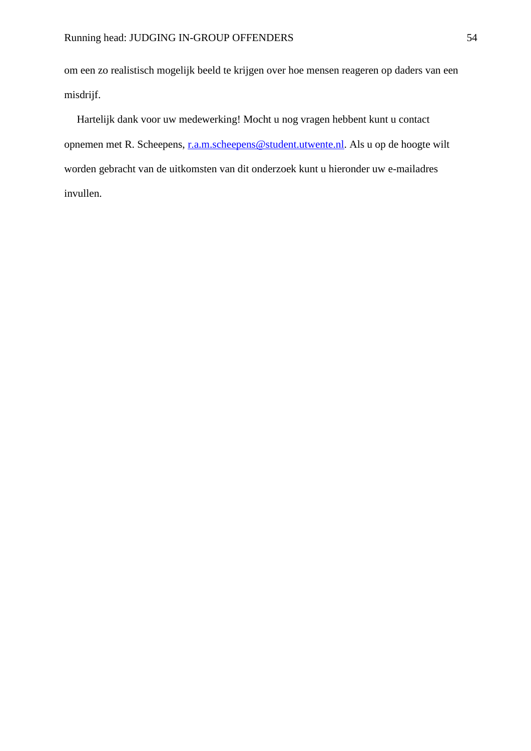om een zo realistisch mogelijk beeld te krijgen over hoe mensen reageren op daders van een misdrijf.

Hartelijk dank voor uw medewerking! Mocht u nog vragen hebbent kunt u contact opnemen met R. Scheepens, [r.a.m.scheepens@student.utwente.nl.](mailto:r.a.m.scheepens@student.utwente.nl) Als u op de hoogte wilt worden gebracht van de uitkomsten van dit onderzoek kunt u hieronder uw e-mailadres invullen.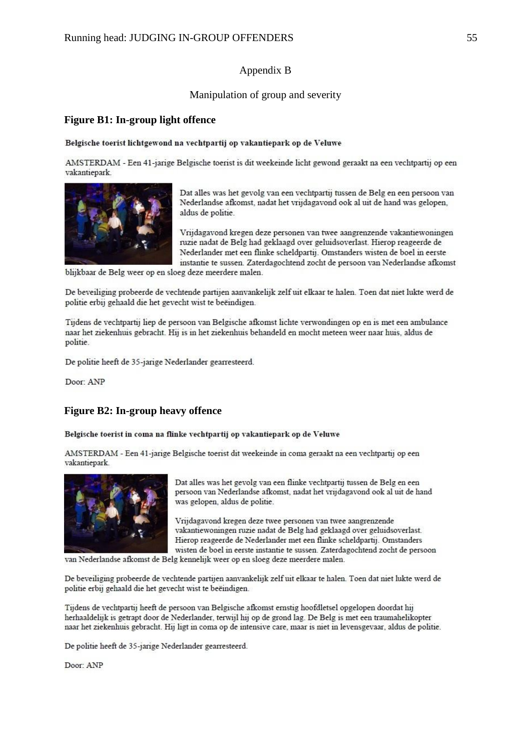#### Appendix B

#### Manipulation of group and severity

#### **Figure B1: In-group light offence**

#### Belgische toerist lichtgewond na vechtpartij op vakantiepark op de Veluwe

AMSTERDAM - Een 41-jarige Belgische toerist is dit weekeinde licht gewond geraakt na een vechtpartij op een vakantiepark.



Dat alles was het gevolg van een vechtpartij tussen de Belg en een persoon van Nederlandse afkomst, nadat het vrijdagavond ook al uit de hand was gelopen, aldus de politie.

Vrijdagavond kregen deze personen van twee aangrenzende vakantiewoningen ruzie nadat de Belg had geklaagd over geluidsoverlast. Hierop reageerde de Nederlander met een flinke scheldpartij. Omstanders wisten de boel in eerste instantie te sussen. Zaterdagochtend zocht de persoon van Nederlandse afkomst

blijkbaar de Belg weer op en sloeg deze meerdere malen.

De beveiliging probeerde de vechtende partijen aanvankelijk zelf uit elkaar te halen. Toen dat niet lukte werd de politie erbij gehaald die het gevecht wist te beëindigen.

Tijdens de vechtpartij liep de persoon van Belgische afkomst lichte verwondingen op en is met een ambulance naar het ziekenhuis gebracht. Hij is in het ziekenhuis behandeld en mocht meteen weer naar huis, aldus de politie.

De politie heeft de 35-jarige Nederlander gearresteerd.

Door: ANP

#### **Figure B2: In-group heavy offence**

#### Belgische toerist in coma na flinke vechtpartij op vakantiepark op de Veluwe

AMSTERDAM - Een 41-jarige Belgische toerist dit weekeinde in coma geraakt na een vechtpartij op een vakantiepark.



Dat alles was het gevolg van een flinke vechtpartij tussen de Belg en een persoon van Nederlandse afkomst, nadat het vrijdagavond ook al uit de hand was gelopen, aldus de politie.

Vrijdagavond kregen deze twee personen van twee aangrenzende vakantiewoningen ruzie nadat de Belg had geklaagd over geluidsoverlast. Hierop reageerde de Nederlander met een flinke scheldpartij. Omstanders wisten de boel in eerste instantie te sussen. Zaterdagochtend zocht de persoon

van Nederlandse afkomst de Belg kennelijk weer op en sloeg deze meerdere malen.

De beveiliging probeerde de vechtende partijen aanvankelijk zelf uit elkaar te halen. Toen dat niet lukte werd de politie erbij gehaald die het gevecht wist te beëindigen.

Tijdens de vechtpartij heeft de persoon van Belgische afkomst ernstig hoofdletsel opgelopen doordat hij herhaaldelijk is getrapt door de Nederlander, terwijl hij op de grond lag. De Belg is met een traumahelikopter naar het ziekenhuis gebracht. Hij ligt in coma op de intensive care, maar is niet in levensgevaar, aldus de politie.

De politie heeft de 35-jarige Nederlander gearresteerd.

Door: ANP